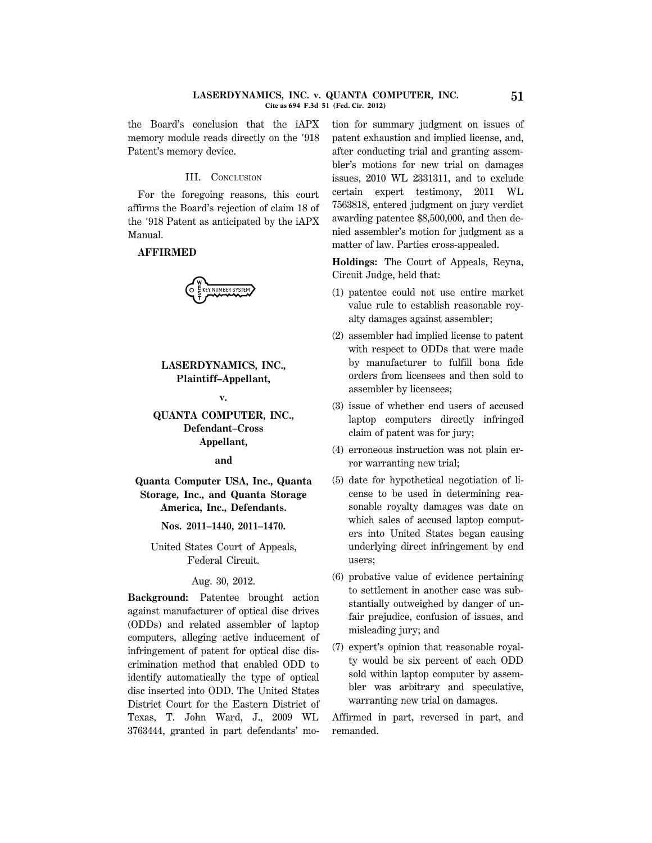the Board's conclusion that the iAPX memory module reads directly on the  $918$ Patent's memory device.

## III. CONCLUSION

For the foregoing reasons, this court affirms the Board's rejection of claim 18 of the '918 Patent as anticipated by the iAPX Manual.

## **AFFIRMED**

E KEY NUMBER SYSTEM

# **LASERDYNAMICS, INC., Plaintiff–Appellant,**

**v.**

# **QUANTA COMPUTER, INC., Defendant–Cross Appellant,**

#### **and**

**Quanta Computer USA, Inc., Quanta Storage, Inc., and Quanta Storage America, Inc., Defendants.**

**Nos. 2011–1440, 2011–1470.**

United States Court of Appeals, Federal Circuit.

## Aug. 30, 2012.

**Background:** Patentee brought action against manufacturer of optical disc drives (ODDs) and related assembler of laptop computers, alleging active inducement of infringement of patent for optical disc discrimination method that enabled ODD to identify automatically the type of optical disc inserted into ODD. The United States District Court for the Eastern District of Texas, T. John Ward, J., 2009 WL 3763444, granted in part defendants' motion for summary judgment on issues of patent exhaustion and implied license, and, after conducting trial and granting assembler's motions for new trial on damages issues, 2010 WL 2331311, and to exclude certain expert testimony, 2011 WL 7563818, entered judgment on jury verdict awarding patentee \$8,500,000, and then denied assembler's motion for judgment as a matter of law. Parties cross-appealed.

**Holdings:** The Court of Appeals, Reyna, Circuit Judge, held that:

- (1) patentee could not use entire market value rule to establish reasonable royalty damages against assembler;
- (2) assembler had implied license to patent with respect to ODDs that were made by manufacturer to fulfill bona fide orders from licensees and then sold to assembler by licensees;
- (3) issue of whether end users of accused laptop computers directly infringed claim of patent was for jury;
- (4) erroneous instruction was not plain error warranting new trial;
- (5) date for hypothetical negotiation of license to be used in determining reasonable royalty damages was date on which sales of accused laptop computers into United States began causing underlying direct infringement by end users;
- (6) probative value of evidence pertaining to settlement in another case was substantially outweighed by danger of unfair prejudice, confusion of issues, and misleading jury; and
- (7) expert's opinion that reasonable royalty would be six percent of each ODD sold within laptop computer by assembler was arbitrary and speculative, warranting new trial on damages.

Affirmed in part, reversed in part, and remanded.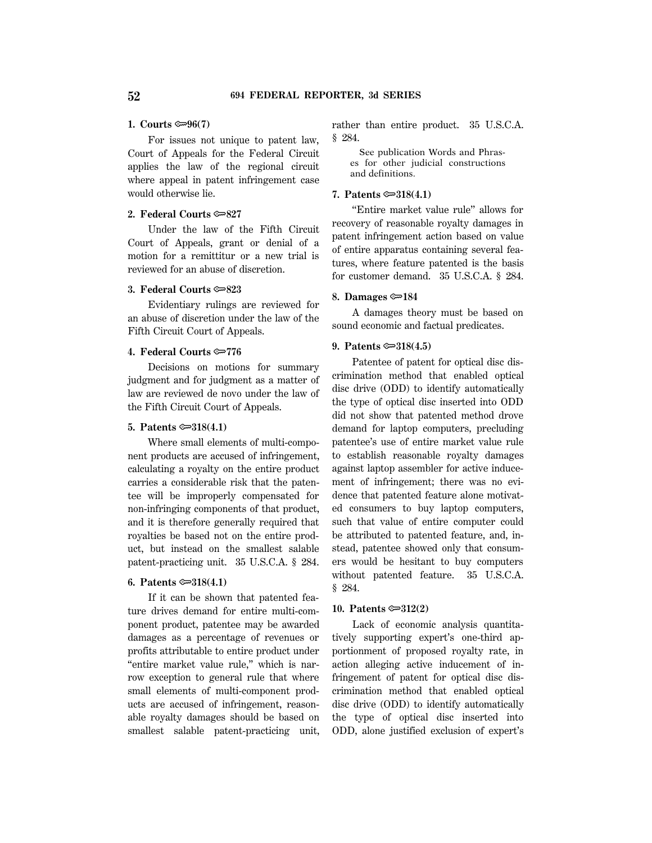## 1. Courts  $\mathfrak{S}(7)$

For issues not unique to patent law, Court of Appeals for the Federal Circuit applies the law of the regional circuit where appeal in patent infringement case would otherwise lie.

# **2. Federal Courts**  $\approx 827$

Under the law of the Fifth Circuit Court of Appeals, grant or denial of a motion for a remittitur or a new trial is reviewed for an abuse of discretion.

## **3. Federal Courts** O**823**

Evidentiary rulings are reviewed for an abuse of discretion under the law of the Fifth Circuit Court of Appeals.

# **4. Federal Courts**  $\approx 776$

Decisions on motions for summary judgment and for judgment as a matter of law are reviewed de novo under the law of the Fifth Circuit Court of Appeals.

# **5. Patents**  $\approx 318(4.1)$

Where small elements of multi-component products are accused of infringement, calculating a royalty on the entire product carries a considerable risk that the patentee will be improperly compensated for non-infringing components of that product, and it is therefore generally required that royalties be based not on the entire product, but instead on the smallest salable patent-practicing unit. 35 U.S.C.A. § 284.

## **6. Patents**  $\text{)}318(4.1)$

If it can be shown that patented feature drives demand for entire multi-component product, patentee may be awarded damages as a percentage of revenues or profits attributable to entire product under ''entire market value rule,'' which is narrow exception to general rule that where small elements of multi-component products are accused of infringement, reasonable royalty damages should be based on smallest salable patent-practicing unit, rather than entire product. 35 U.S.C.A. § 284.

 See publication Words and Phrases for other judicial constructions and definitions.

# **7. Patents**  $\approx 318(4.1)$

''Entire market value rule'' allows for recovery of reasonable royalty damages in patent infringement action based on value of entire apparatus containing several features, where feature patented is the basis for customer demand. 35 U.S.C.A. § 284.

## **8. Damages** O**184**

A damages theory must be based on sound economic and factual predicates.

#### **9. Patents**  $\approx 318(4.5)$

Patentee of patent for optical disc discrimination method that enabled optical disc drive (ODD) to identify automatically the type of optical disc inserted into ODD did not show that patented method drove demand for laptop computers, precluding patentee's use of entire market value rule to establish reasonable royalty damages against laptop assembler for active inducement of infringement; there was no evidence that patented feature alone motivated consumers to buy laptop computers, such that value of entire computer could be attributed to patented feature, and, instead, patentee showed only that consumers would be hesitant to buy computers without patented feature. 35 U.S.C.A. § 284.

## **10. Patents** O**312(2)**

Lack of economic analysis quantitatively supporting expert's one-third apportionment of proposed royalty rate, in action alleging active inducement of infringement of patent for optical disc discrimination method that enabled optical disc drive (ODD) to identify automatically the type of optical disc inserted into ODD, alone justified exclusion of expert's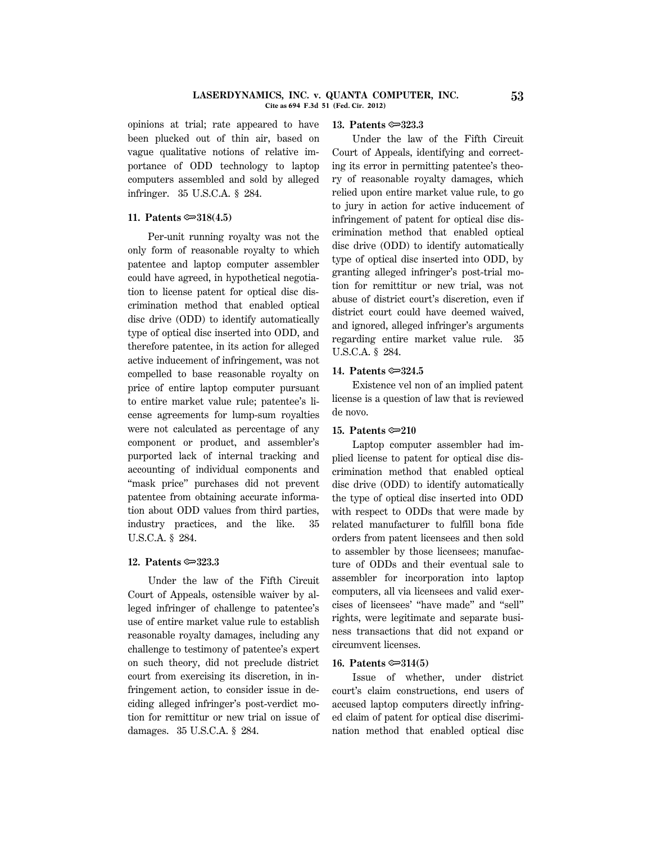#### **LASERDYNAMICS, INC. v. QUANTA COMPUTER, INC. 53 Cite as 694 F.3d 51 (Fed. Cir. 2012)**

opinions at trial; rate appeared to have been plucked out of thin air, based on vague qualitative notions of relative importance of ODD technology to laptop computers assembled and sold by alleged infringer. 35 U.S.C.A. § 284.

## **11. Patents**  $\approx 318(4.5)$

Per-unit running royalty was not the only form of reasonable royalty to which patentee and laptop computer assembler could have agreed, in hypothetical negotiation to license patent for optical disc discrimination method that enabled optical disc drive (ODD) to identify automatically type of optical disc inserted into ODD, and therefore patentee, in its action for alleged active inducement of infringement, was not compelled to base reasonable royalty on price of entire laptop computer pursuant to entire market value rule; patentee's license agreements for lump-sum royalties were not calculated as percentage of any component or product, and assembler's purported lack of internal tracking and accounting of individual components and ''mask price'' purchases did not prevent patentee from obtaining accurate information about ODD values from third parties, industry practices, and the like. 35 U.S.C.A. § 284.

## **12. Patents** O**323.3**

Under the law of the Fifth Circuit Court of Appeals, ostensible waiver by alleged infringer of challenge to patentee's use of entire market value rule to establish reasonable royalty damages, including any challenge to testimony of patentee's expert on such theory, did not preclude district court from exercising its discretion, in infringement action, to consider issue in deciding alleged infringer's post-verdict motion for remittitur or new trial on issue of damages. 35 U.S.C.A. § 284.

## **13. Patents**  $\approx 323.3$

Under the law of the Fifth Circuit Court of Appeals, identifying and correcting its error in permitting patentee's theory of reasonable royalty damages, which relied upon entire market value rule, to go to jury in action for active inducement of infringement of patent for optical disc discrimination method that enabled optical disc drive (ODD) to identify automatically type of optical disc inserted into ODD, by granting alleged infringer's post-trial motion for remittitur or new trial, was not abuse of district court's discretion, even if district court could have deemed waived, and ignored, alleged infringer's arguments regarding entire market value rule. 35 U.S.C.A. § 284.

## **14. Patents <del>©</del>324.5**

Existence vel non of an implied patent license is a question of law that is reviewed de novo.

## **15. Patents** O**210**

Laptop computer assembler had implied license to patent for optical disc discrimination method that enabled optical disc drive (ODD) to identify automatically the type of optical disc inserted into ODD with respect to ODDs that were made by related manufacturer to fulfill bona fide orders from patent licensees and then sold to assembler by those licensees; manufacture of ODDs and their eventual sale to assembler for incorporation into laptop computers, all via licensees and valid exercises of licensees' ''have made'' and ''sell'' rights, were legitimate and separate business transactions that did not expand or circumvent licenses.

#### **16. Patents**  $\approx 314(5)$

Issue of whether, under district court's claim constructions, end users of accused laptop computers directly infringed claim of patent for optical disc discrimination method that enabled optical disc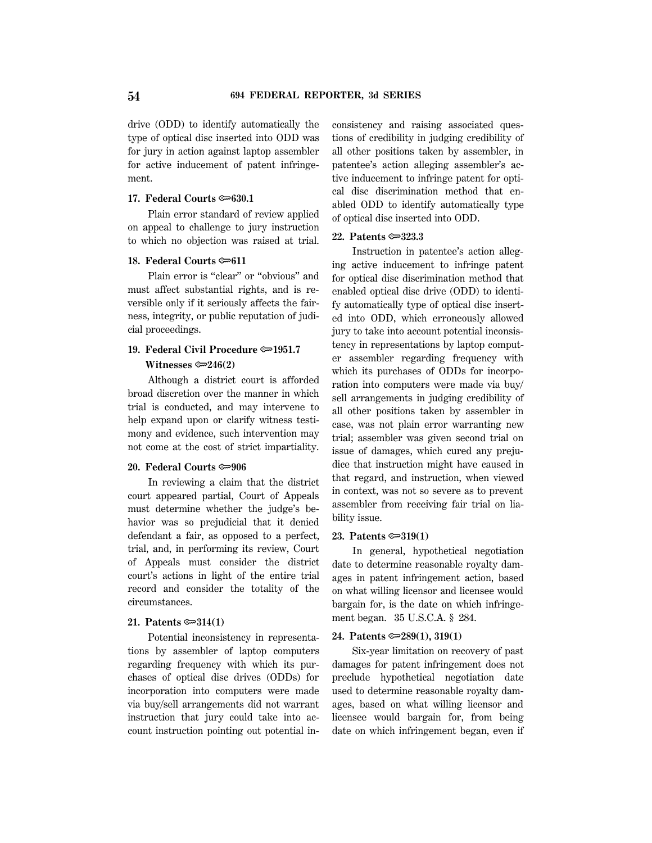drive (ODD) to identify automatically the type of optical disc inserted into ODD was for jury in action against laptop assembler for active inducement of patent infringement.

## **17. Federal Courts**  $\approx 630.1$

Plain error standard of review applied on appeal to challenge to jury instruction to which no objection was raised at trial.

## **18. Federal Courts**  $\approx 611$

Plain error is "clear" or "obvious" and must affect substantial rights, and is reversible only if it seriously affects the fairness, integrity, or public reputation of judicial proceedings.

# **19. Federal Civil Procedure**  $\approx 1951.7$  **Witnesses** O**246(2)**

Although a district court is afforded broad discretion over the manner in which trial is conducted, and may intervene to help expand upon or clarify witness testimony and evidence, such intervention may not come at the cost of strict impartiality.

## **20. Federal Courts**  $\infty$ **906**

In reviewing a claim that the district court appeared partial, Court of Appeals must determine whether the judge's behavior was so prejudicial that it denied defendant a fair, as opposed to a perfect, trial, and, in performing its review, Court of Appeals must consider the district court's actions in light of the entire trial record and consider the totality of the circumstances.

# **21. Patents** O**314(1)**

Potential inconsistency in representations by assembler of laptop computers regarding frequency with which its purchases of optical disc drives (ODDs) for incorporation into computers were made via buy/sell arrangements did not warrant instruction that jury could take into account instruction pointing out potential inconsistency and raising associated questions of credibility in judging credibility of all other positions taken by assembler, in patentee's action alleging assembler's active inducement to infringe patent for optical disc discrimination method that enabled ODD to identify automatically type of optical disc inserted into ODD.

#### **22. Patents** O**323.3**

Instruction in patentee's action alleging active inducement to infringe patent for optical disc discrimination method that enabled optical disc drive (ODD) to identify automatically type of optical disc inserted into ODD, which erroneously allowed jury to take into account potential inconsistency in representations by laptop computer assembler regarding frequency with which its purchases of ODDs for incorporation into computers were made via buy/ sell arrangements in judging credibility of all other positions taken by assembler in case, was not plain error warranting new trial; assembler was given second trial on issue of damages, which cured any prejudice that instruction might have caused in that regard, and instruction, when viewed in context, was not so severe as to prevent assembler from receiving fair trial on liability issue.

#### **23. Patents** O**319(1)**

In general, hypothetical negotiation date to determine reasonable royalty damages in patent infringement action, based on what willing licensor and licensee would bargain for, is the date on which infringement began. 35 U.S.C.A. § 284.

#### **24. Patents** O**289(1), 319(1)**

Six-year limitation on recovery of past damages for patent infringement does not preclude hypothetical negotiation date used to determine reasonable royalty damages, based on what willing licensor and licensee would bargain for, from being date on which infringement began, even if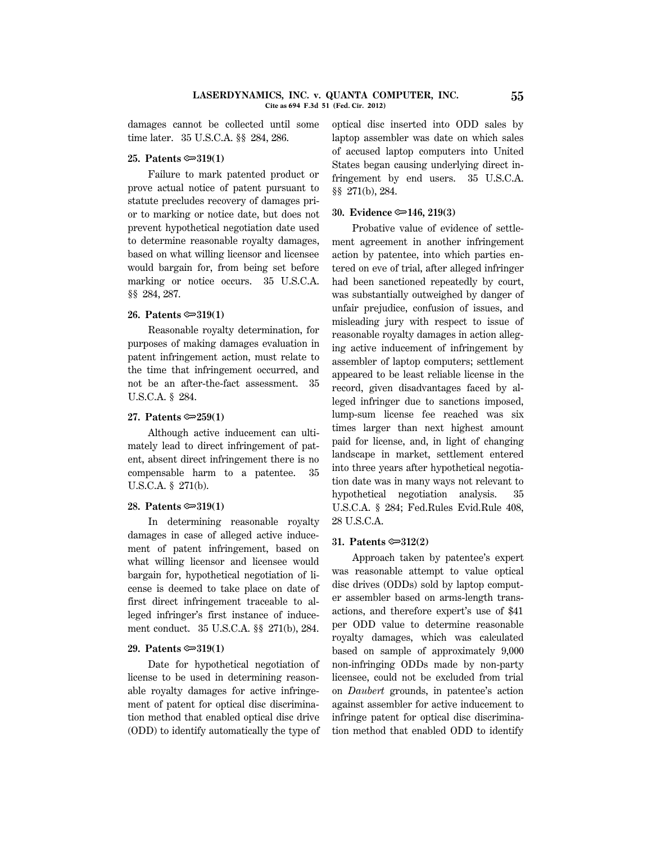damages cannot be collected until some time later. 35 U.S.C.A. §§ 284, 286.

## **25. Patents** O**319(1)**

Failure to mark patented product or prove actual notice of patent pursuant to statute precludes recovery of damages prior to marking or notice date, but does not prevent hypothetical negotiation date used to determine reasonable royalty damages, based on what willing licensor and licensee would bargain for, from being set before marking or notice occurs. 35 U.S.C.A. §§ 284, 287.

# **26. Patents** O**319(1)**

Reasonable royalty determination, for purposes of making damages evaluation in patent infringement action, must relate to the time that infringement occurred, and not be an after-the-fact assessment. 35 U.S.C.A. § 284.

## **27. Patents** O**259(1)**

Although active inducement can ultimately lead to direct infringement of patent, absent direct infringement there is no compensable harm to a patentee. 35 U.S.C.A. § 271(b).

#### **28. Patents** O**319(1)**

In determining reasonable royalty damages in case of alleged active inducement of patent infringement, based on what willing licensor and licensee would bargain for, hypothetical negotiation of license is deemed to take place on date of first direct infringement traceable to alleged infringer's first instance of inducement conduct. 35 U.S.C.A. §§ 271(b), 284.

## **29. Patents** O**319(1)**

Date for hypothetical negotiation of license to be used in determining reasonable royalty damages for active infringement of patent for optical disc discrimination method that enabled optical disc drive (ODD) to identify automatically the type of optical disc inserted into ODD sales by laptop assembler was date on which sales of accused laptop computers into United States began causing underlying direct infringement by end users. 35 U.S.C.A. §§ 271(b), 284.

## **30. Evidence** O**146, 219(3)**

Probative value of evidence of settlement agreement in another infringement action by patentee, into which parties entered on eve of trial, after alleged infringer had been sanctioned repeatedly by court, was substantially outweighed by danger of unfair prejudice, confusion of issues, and misleading jury with respect to issue of reasonable royalty damages in action alleging active inducement of infringement by assembler of laptop computers; settlement appeared to be least reliable license in the record, given disadvantages faced by alleged infringer due to sanctions imposed, lump-sum license fee reached was six times larger than next highest amount paid for license, and, in light of changing landscape in market, settlement entered into three years after hypothetical negotiation date was in many ways not relevant to hypothetical negotiation analysis. 35 U.S.C.A. § 284; Fed.Rules Evid.Rule 408, 28 U.S.C.A.

## **31. Patents** O**312(2)**

Approach taken by patentee's expert was reasonable attempt to value optical disc drives (ODDs) sold by laptop computer assembler based on arms-length transactions, and therefore expert's use of \$41 per ODD value to determine reasonable royalty damages, which was calculated based on sample of approximately 9,000 non-infringing ODDs made by non-party licensee, could not be excluded from trial on *Daubert* grounds, in patentee's action against assembler for active inducement to infringe patent for optical disc discrimination method that enabled ODD to identify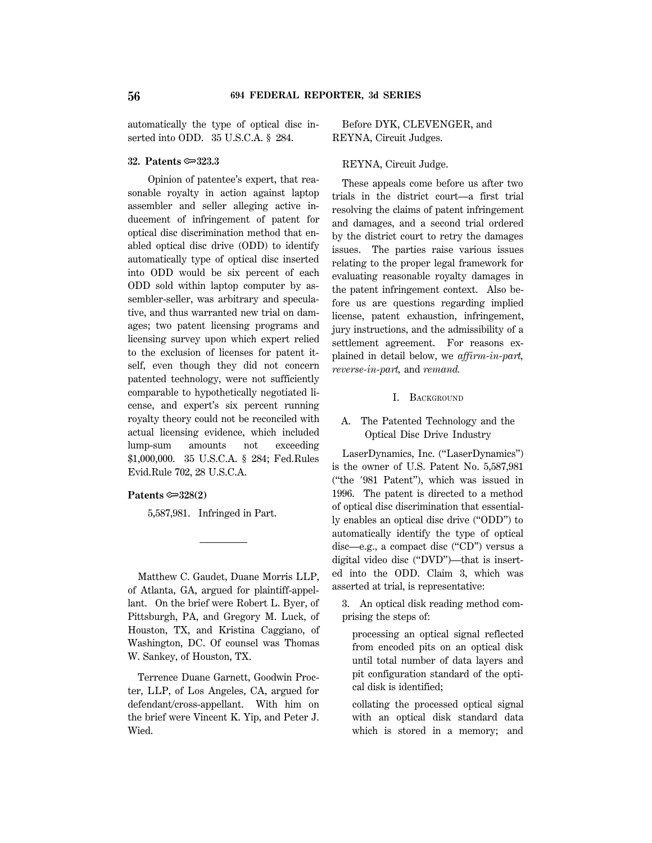automatically the type of optical disc inserted into ODD. 35 U.S.C.A. § 284.

#### **32. Patents** O**323.3**

Opinion of patentee's expert, that reasonable royalty in action against laptop assembler and seller alleging active inducement of infringement of patent for optical disc discrimination method that enabled optical disc drive (ODD) to identify automatically type of optical disc inserted into ODD would be six percent of each ODD sold within laptop computer by assembler-seller, was arbitrary and speculative, and thus warranted new trial on damages; two patent licensing programs and licensing survey upon which expert relied to the exclusion of licenses for patent itself, even though they did not concern patented technology, were not sufficiently comparable to hypothetically negotiated license, and expert's six percent running royalty theory could not be reconciled with actual licensing evidence, which included lump-sum amounts not exceeding \$1,000,000. 35 U.S.C.A. § 284; Fed.Rules Evid.Rule 702, 28 U.S.C.A.

#### **Patents**  $\approx 328(2)$

5,587,981. Infringed in Part.

Matthew C. Gaudet, Duane Morris LLP, of Atlanta, GA, argued for plaintiff-appellant. On the brief were Robert L. Byer, of Pittsburgh, PA, and Gregory M. Luck, of Houston, TX, and Kristina Caggiano, of Washington, DC. Of counsel was Thomas W. Sankey, of Houston, TX.

Terrence Duane Garnett, Goodwin Procter, LLP, of Los Angeles, CA, argued for defendant/cross-appellant. With him on the brief were Vincent K. Yip, and Peter J. Wied.

Before DYK, CLEVENGER, and REYNA, Circuit Judges.

## REYNA, Circuit Judge.

These appeals come before us after two trials in the district court—a first trial resolving the claims of patent infringement and damages, and a second trial ordered by the district court to retry the damages issues. The parties raise various issues relating to the proper legal framework for evaluating reasonable royalty damages in the patent infringement context. Also before us are questions regarding implied license, patent exhaustion, infringement, jury instructions, and the admissibility of a settlement agreement. For reasons explained in detail below, we *affirm-in-part, reverse-in-part,* and *remand.*

## I. BACKGROUND

# A. The Patented Technology and the Optical Disc Drive Industry

LaserDynamics, Inc. ("LaserDynamics") is the owner of U.S. Patent No. 5,587,981 (''the 8981 Patent''), which was issued in 1996. The patent is directed to a method of optical disc discrimination that essentially enables an optical disc drive (''ODD'') to automatically identify the type of optical disc—e.g., a compact disc ("CD") versus a digital video disc (''DVD'')—that is inserted into the ODD. Claim 3, which was asserted at trial, is representative:

3. An optical disk reading method comprising the steps of:

processing an optical signal reflected from encoded pits on an optical disk until total number of data layers and pit configuration standard of the optical disk is identified;

collating the processed optical signal with an optical disk standard data which is stored in a memory; and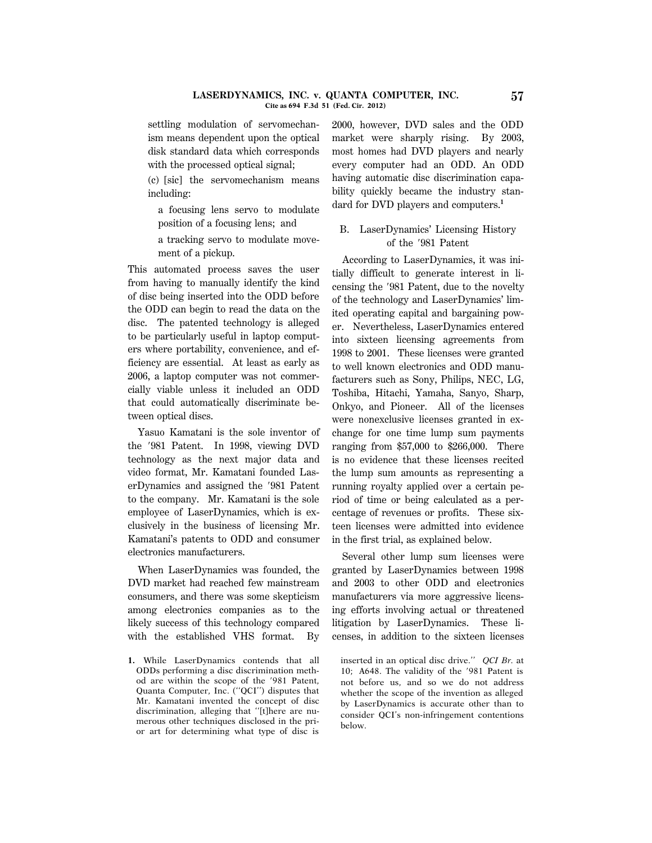#### **LASERDYNAMICS, INC. v. QUANTA COMPUTER, INC. 57 Cite as 694 F.3d 51 (Fed. Cir. 2012)**

settling modulation of servomechanism means dependent upon the optical disk standard data which corresponds with the processed optical signal;

(c) [sic] the servomechanism means including:

a focusing lens servo to modulate position of a focusing lens; and

a tracking servo to modulate movement of a pickup.

This automated process saves the user from having to manually identify the kind of disc being inserted into the ODD before the ODD can begin to read the data on the disc. The patented technology is alleged to be particularly useful in laptop computers where portability, convenience, and efficiency are essential. At least as early as 2006, a laptop computer was not commercially viable unless it included an ODD that could automatically discriminate between optical discs.

Yasuo Kamatani is the sole inventor of the 8981 Patent. In 1998, viewing DVD technology as the next major data and video format, Mr. Kamatani founded LaserDynamics and assigned the '981 Patent to the company. Mr. Kamatani is the sole employee of LaserDynamics, which is exclusively in the business of licensing Mr. Kamatani's patents to ODD and consumer electronics manufacturers.

When LaserDynamics was founded, the DVD market had reached few mainstream consumers, and there was some skepticism among electronics companies as to the likely success of this technology compared with the established VHS format. By

2000, however, DVD sales and the ODD market were sharply rising. By 2003, most homes had DVD players and nearly every computer had an ODD. An ODD having automatic disc discrimination capability quickly became the industry standard for DVD players and computers.**<sup>1</sup>**

# B. LaserDynamics' Licensing History of the '981 Patent

According to LaserDynamics, it was initially difficult to generate interest in licensing the '981 Patent, due to the novelty of the technology and LaserDynamics' limited operating capital and bargaining power. Nevertheless, LaserDynamics entered into sixteen licensing agreements from 1998 to 2001. These licenses were granted to well known electronics and ODD manufacturers such as Sony, Philips, NEC, LG, Toshiba, Hitachi, Yamaha, Sanyo, Sharp, Onkyo, and Pioneer. All of the licenses were nonexclusive licenses granted in exchange for one time lump sum payments ranging from \$57,000 to \$266,000. There is no evidence that these licenses recited the lump sum amounts as representing a running royalty applied over a certain period of time or being calculated as a percentage of revenues or profits. These sixteen licenses were admitted into evidence in the first trial, as explained below.

Several other lump sum licenses were granted by LaserDynamics between 1998 and 2003 to other ODD and electronics manufacturers via more aggressive licensing efforts involving actual or threatened litigation by LaserDynamics. These licenses, in addition to the sixteen licenses

**<sup>1.</sup>** While LaserDynamics contends that all ODDs performing a disc discrimination method are within the scope of the '981 Patent, Quanta Computer, Inc. (''QCI'') disputes that Mr. Kamatani invented the concept of disc discrimination, alleging that ''[t]here are numerous other techniques disclosed in the prior art for determining what type of disc is

inserted in an optical disc drive.'' *QCI Br.* at 10; A648. The validity of the '981 Patent is not before us, and so we do not address whether the scope of the invention as alleged by LaserDynamics is accurate other than to consider QCI's non-infringement contentions below.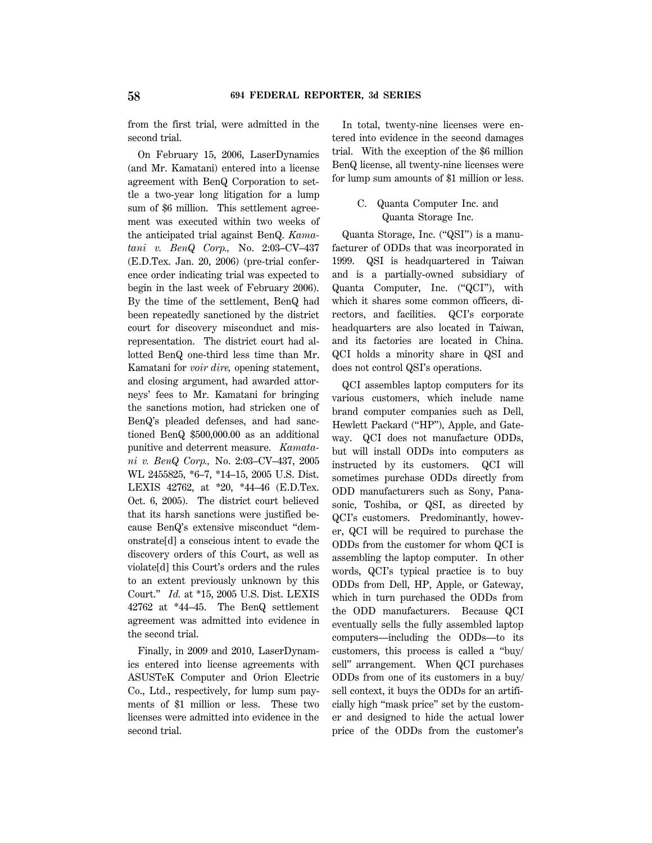from the first trial, were admitted in the second trial.

On February 15, 2006, LaserDynamics (and Mr. Kamatani) entered into a license agreement with BenQ Corporation to settle a two-year long litigation for a lump sum of \$6 million. This settlement agreement was executed within two weeks of the anticipated trial against BenQ. *Kamatani v. BenQ Corp.,* No. 2:03–CV–437 (E.D.Tex. Jan. 20, 2006) (pre-trial conference order indicating trial was expected to begin in the last week of February 2006). By the time of the settlement, BenQ had been repeatedly sanctioned by the district court for discovery misconduct and misrepresentation. The district court had allotted BenQ one-third less time than Mr. Kamatani for *voir dire,* opening statement, and closing argument, had awarded attorneys' fees to Mr. Kamatani for bringing the sanctions motion, had stricken one of BenQ's pleaded defenses, and had sanctioned BenQ \$500,000.00 as an additional punitive and deterrent measure. *Kamatani v. BenQ Corp.,* No. 2:03–CV–437, 2005 WL 2455825, \*6–7, \*14–15, 2005 U.S. Dist. LEXIS 42762, at \*20, \*44–46 (E.D.Tex. Oct. 6, 2005). The district court believed that its harsh sanctions were justified because BenQ's extensive misconduct ''demonstrate[d] a conscious intent to evade the discovery orders of this Court, as well as violate[d] this Court's orders and the rules to an extent previously unknown by this Court.'' *Id.* at \*15, 2005 U.S. Dist. LEXIS 42762 at \*44–45. The BenQ settlement agreement was admitted into evidence in the second trial.

Finally, in 2009 and 2010, LaserDynamics entered into license agreements with ASUSTeK Computer and Orion Electric Co., Ltd., respectively, for lump sum payments of \$1 million or less. These two licenses were admitted into evidence in the second trial.

In total, twenty-nine licenses were entered into evidence in the second damages trial. With the exception of the \$6 million BenQ license, all twenty-nine licenses were for lump sum amounts of \$1 million or less.

# C. Quanta Computer Inc. and Quanta Storage Inc.

Quanta Storage, Inc. (''QSI'') is a manufacturer of ODDs that was incorporated in 1999. QSI is headquartered in Taiwan and is a partially-owned subsidiary of Quanta Computer, Inc. (''QCI''), with which it shares some common officers, directors, and facilities. QCI's corporate headquarters are also located in Taiwan, and its factories are located in China. QCI holds a minority share in QSI and does not control QSI's operations.

QCI assembles laptop computers for its various customers, which include name brand computer companies such as Dell, Hewlett Packard ("HP"), Apple, and Gateway. QCI does not manufacture ODDs, but will install ODDs into computers as instructed by its customers. QCI will sometimes purchase ODDs directly from ODD manufacturers such as Sony, Panasonic, Toshiba, or QSI, as directed by QCI's customers. Predominantly, however, QCI will be required to purchase the ODDs from the customer for whom QCI is assembling the laptop computer. In other words, QCI's typical practice is to buy ODDs from Dell, HP, Apple, or Gateway, which in turn purchased the ODDs from the ODD manufacturers. Because QCI eventually sells the fully assembled laptop computers—including the ODDs—to its customers, this process is called a ''buy/ sell'' arrangement. When QCI purchases ODDs from one of its customers in a buy/ sell context, it buys the ODDs for an artificially high ''mask price'' set by the customer and designed to hide the actual lower price of the ODDs from the customer's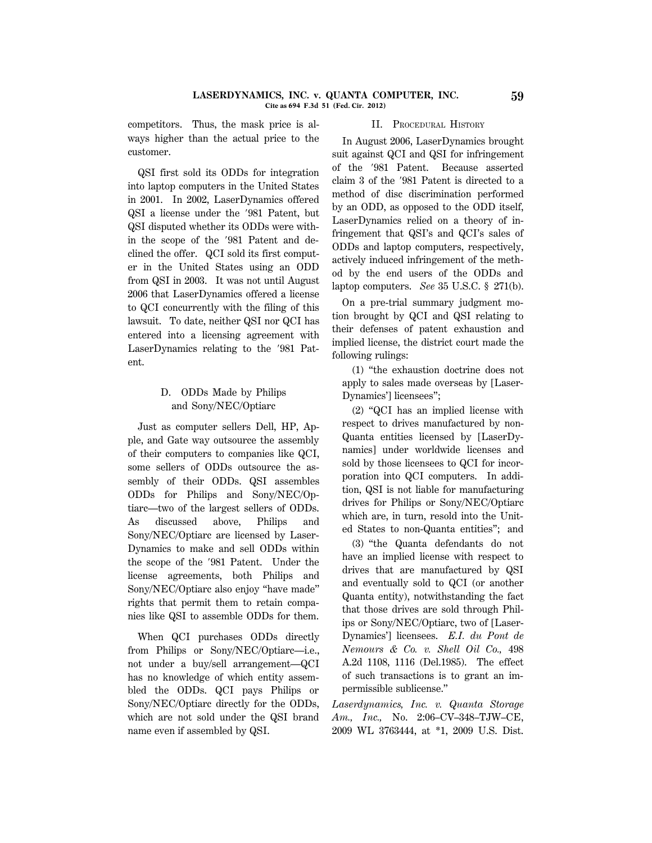#### **LASERDYNAMICS, INC. v. QUANTA COMPUTER, INC. 59 Cite as 694 F.3d 51 (Fed. Cir. 2012)**

competitors. Thus, the mask price is always higher than the actual price to the customer.

QSI first sold its ODDs for integration into laptop computers in the United States in 2001. In 2002, LaserDynamics offered QSI a license under the '981 Patent, but QSI disputed whether its ODDs were within the scope of the '981 Patent and declined the offer. QCI sold its first computer in the United States using an ODD from QSI in 2003. It was not until August 2006 that LaserDynamics offered a license to QCI concurrently with the filing of this lawsuit. To date, neither QSI nor QCI has entered into a licensing agreement with LaserDynamics relating to the '981 Patent.

# D. ODDs Made by Philips and Sony/NEC/Optiarc

Just as computer sellers Dell, HP, Apple, and Gate way outsource the assembly of their computers to companies like QCI, some sellers of ODDs outsource the assembly of their ODDs. QSI assembles ODDs for Philips and Sony/NEC/Optiarc—two of the largest sellers of ODDs. As discussed above, Philips and Sony/NEC/Optiarc are licensed by Laser-Dynamics to make and sell ODDs within the scope of the '981 Patent. Under the license agreements, both Philips and Sony/NEC/Optiarc also enjoy ''have made'' rights that permit them to retain companies like QSI to assemble ODDs for them.

When QCI purchases ODDs directly from Philips or Sony/NEC/Optiarc-i.e., not under a buy/sell arrangement—QCI has no knowledge of which entity assembled the ODDs. QCI pays Philips or Sony/NEC/Optiarc directly for the ODDs, which are not sold under the QSI brand name even if assembled by QSI.

## II. PROCEDURAL HISTORY

In August 2006, LaserDynamics brought suit against QCI and QSI for infringement of the '981 Patent. Because asserted claim 3 of the '981 Patent is directed to a method of disc discrimination performed by an ODD, as opposed to the ODD itself, LaserDynamics relied on a theory of infringement that QSI's and QCI's sales of ODDs and laptop computers, respectively, actively induced infringement of the method by the end users of the ODDs and laptop computers. *See* 35 U.S.C. § 271(b).

On a pre-trial summary judgment motion brought by QCI and QSI relating to their defenses of patent exhaustion and implied license, the district court made the following rulings:

(1) ''the exhaustion doctrine does not apply to sales made overseas by [Laser-Dynamics'] licensees'';

(2) ''QCI has an implied license with respect to drives manufactured by non-Quanta entities licensed by [LaserDynamics] under worldwide licenses and sold by those licensees to QCI for incorporation into QCI computers. In addition, QSI is not liable for manufacturing drives for Philips or Sony/NEC/Optiarc which are, in turn, resold into the United States to non-Quanta entities''; and

(3) ''the Quanta defendants do not have an implied license with respect to drives that are manufactured by QSI and eventually sold to QCI (or another Quanta entity), notwithstanding the fact that those drives are sold through Philips or Sony/NEC/Optiarc, two of [Laser-Dynamics'] licensees. *E.I. du Pont de Nemours & Co. v. Shell Oil Co.,* 498 A.2d 1108, 1116 (Del.1985). The effect of such transactions is to grant an impermissible sublicense.''

*Laserdynamics, Inc. v. Quanta Storage Am., Inc.,* No. 2:06–CV–348–TJW–CE, 2009 WL 3763444, at \*1, 2009 U.S. Dist.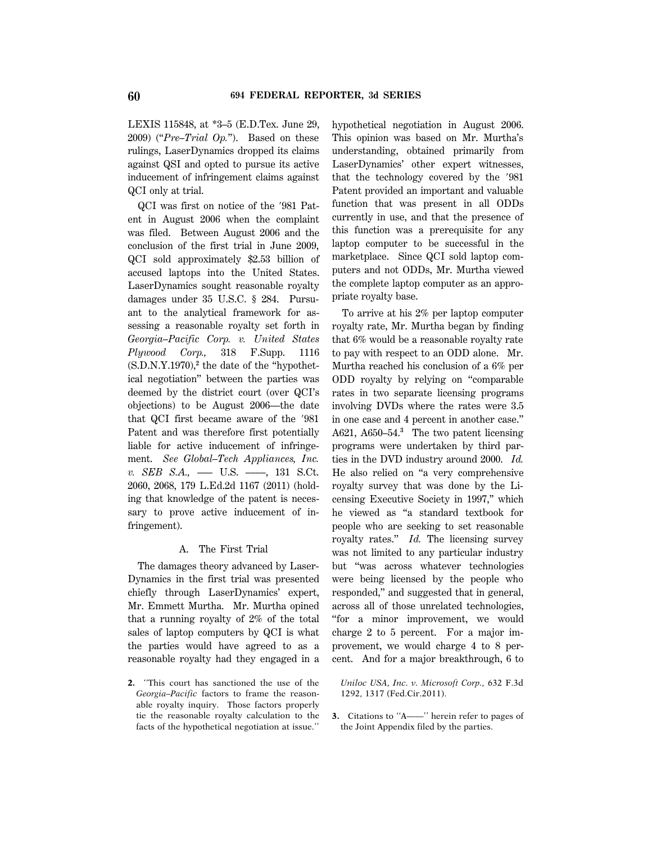LEXIS 115848, at \*3–5 (E.D.Tex. June 29, 2009) (''*Pre–Trial Op.*''). Based on these rulings, LaserDynamics dropped its claims against QSI and opted to pursue its active inducement of infringement claims against QCI only at trial.

 $QCI$  was first on notice of the  $'981$  Patent in August 2006 when the complaint was filed. Between August 2006 and the conclusion of the first trial in June 2009, QCI sold approximately \$2.53 billion of accused laptops into the United States. LaserDynamics sought reasonable royalty damages under 35 U.S.C. § 284. Pursuant to the analytical framework for assessing a reasonable royalty set forth in *Georgia–Pacific Corp. v. United States Plywood Corp.,* 318 F.Supp. 1116 (S.D.N.Y.1970),**<sup>2</sup>** the date of the ''hypothetical negotiation'' between the parties was deemed by the district court (over QCI's objections) to be August 2006—the date that QCI first became aware of the '981 Patent and was therefore first potentially liable for active inducement of infringement. *See Global–Tech Appliances, Inc. v. SEB S.A.,* ––– U.S. ––––, 131 S.Ct. 2060, 2068, 179 L.Ed.2d 1167 (2011) (holding that knowledge of the patent is necessary to prove active inducement of infringement).

#### A. The First Trial

The damages theory advanced by Laser-Dynamics in the first trial was presented chiefly through LaserDynamics' expert, Mr. Emmett Murtha. Mr. Murtha opined that a running royalty of 2% of the total sales of laptop computers by QCI is what the parties would have agreed to as a reasonable royalty had they engaged in a

**2.** ''This court has sanctioned the use of the *Georgia–Pacific* factors to frame the reasonable royalty inquiry. Those factors properly tie the reasonable royalty calculation to the facts of the hypothetical negotiation at issue.''

hypothetical negotiation in August 2006. This opinion was based on Mr. Murtha's understanding, obtained primarily from LaserDynamics' other expert witnesses, that the technology covered by the  $'981$ Patent provided an important and valuable function that was present in all ODDs currently in use, and that the presence of this function was a prerequisite for any laptop computer to be successful in the marketplace. Since QCI sold laptop computers and not ODDs, Mr. Murtha viewed the complete laptop computer as an appropriate royalty base.

To arrive at his 2% per laptop computer royalty rate, Mr. Murtha began by finding that 6% would be a reasonable royalty rate to pay with respect to an ODD alone. Mr. Murtha reached his conclusion of a 6% per ODD royalty by relying on ''comparable rates in two separate licensing programs involving DVDs where the rates were 3.5 in one case and 4 percent in another case.'' A621, A650–54.**<sup>3</sup>** The two patent licensing programs were undertaken by third parties in the DVD industry around 2000. *Id.* He also relied on ''a very comprehensive royalty survey that was done by the Licensing Executive Society in 1997,'' which he viewed as ''a standard textbook for people who are seeking to set reasonable royalty rates.'' *Id.* The licensing survey was not limited to any particular industry but ''was across whatever technologies were being licensed by the people who responded,'' and suggested that in general, across all of those unrelated technologies, ''for a minor improvement, we would charge 2 to 5 percent. For a major improvement, we would charge 4 to 8 percent. And for a major breakthrough, 6 to

*Uniloc USA, Inc. v. Microsoft Corp.,* 632 F.3d 1292, 1317 (Fed.Cir.2011).

**3.** Citations to "A——" herein refer to pages of the Joint Appendix filed by the parties.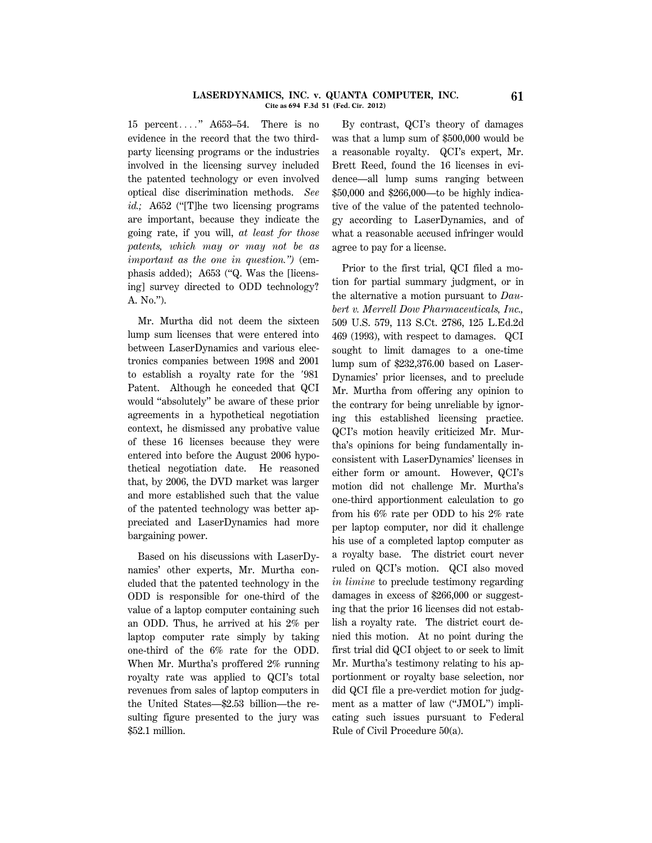#### **LASERDYNAMICS, INC. v. QUANTA COMPUTER, INC. 61 Cite as 694 F.3d 51 (Fed. Cir. 2012)**

15 percent...."  $A653-54$ . There is no evidence in the record that the two thirdparty licensing programs or the industries involved in the licensing survey included the patented technology or even involved optical disc discrimination methods. *See id.*; A652 ("The two licensing programs are important, because they indicate the going rate, if you will, *at least for those patents, which may or may not be as important as the one in question.'')* (emphasis added); A653 (''Q. Was the [licensing] survey directed to ODD technology? A. No.'').

Mr. Murtha did not deem the sixteen lump sum licenses that were entered into between LaserDynamics and various electronics companies between 1998 and 2001 to establish a royalty rate for the '981 Patent. Although he conceded that QCI would ''absolutely'' be aware of these prior agreements in a hypothetical negotiation context, he dismissed any probative value of these 16 licenses because they were entered into before the August 2006 hypothetical negotiation date. He reasoned that, by 2006, the DVD market was larger and more established such that the value of the patented technology was better appreciated and LaserDynamics had more bargaining power.

Based on his discussions with LaserDynamics' other experts, Mr. Murtha concluded that the patented technology in the ODD is responsible for one-third of the value of a laptop computer containing such an ODD. Thus, he arrived at his 2% per laptop computer rate simply by taking one-third of the 6% rate for the ODD. When Mr. Murtha's proffered 2% running royalty rate was applied to QCI's total revenues from sales of laptop computers in the United States—\$2.53 billion—the resulting figure presented to the jury was \$52.1 million.

By contrast, QCI's theory of damages was that a lump sum of \$500,000 would be a reasonable royalty. QCI's expert, Mr. Brett Reed, found the 16 licenses in evidence—all lump sums ranging between \$50,000 and \$266,000—to be highly indicative of the value of the patented technology according to LaserDynamics, and of what a reasonable accused infringer would agree to pay for a license.

Prior to the first trial, QCI filed a motion for partial summary judgment, or in the alternative a motion pursuant to *Daubert v. Merrell Dow Pharmaceuticals, Inc.,* 509 U.S. 579, 113 S.Ct. 2786, 125 L.Ed.2d 469 (1993), with respect to damages. QCI sought to limit damages to a one-time lump sum of \$232,376.00 based on Laser-Dynamics' prior licenses, and to preclude Mr. Murtha from offering any opinion to the contrary for being unreliable by ignoring this established licensing practice. QCI's motion heavily criticized Mr. Murtha's opinions for being fundamentally inconsistent with LaserDynamics' licenses in either form or amount. However, QCI's motion did not challenge Mr. Murtha's one-third apportionment calculation to go from his 6% rate per ODD to his 2% rate per laptop computer, nor did it challenge his use of a completed laptop computer as a royalty base. The district court never ruled on QCI's motion. QCI also moved *in limine* to preclude testimony regarding damages in excess of \$266,000 or suggesting that the prior 16 licenses did not establish a royalty rate. The district court denied this motion. At no point during the first trial did QCI object to or seek to limit Mr. Murtha's testimony relating to his apportionment or royalty base selection, nor did QCI file a pre-verdict motion for judgment as a matter of law (''JMOL'') implicating such issues pursuant to Federal Rule of Civil Procedure 50(a).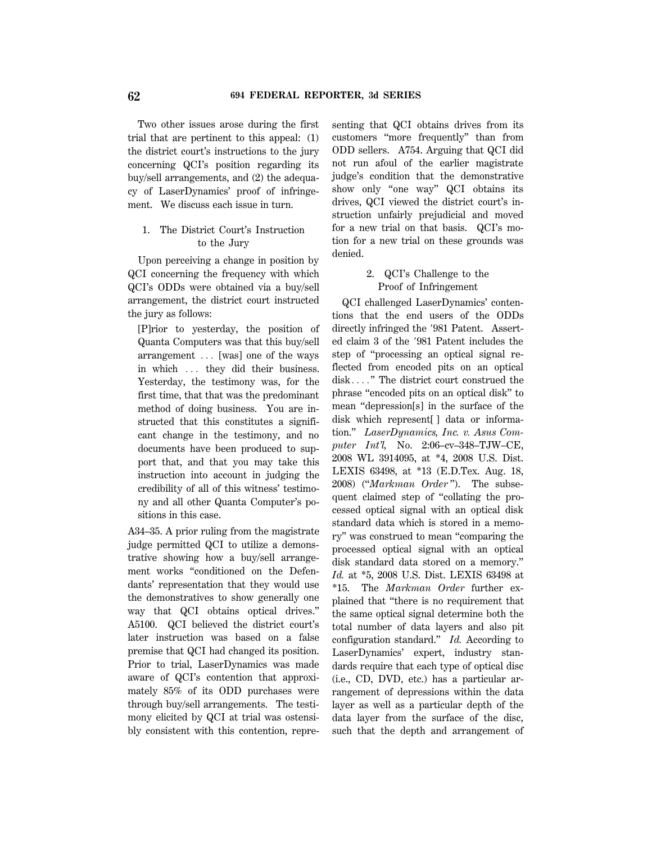Two other issues arose during the first trial that are pertinent to this appeal: (1) the district court's instructions to the jury concerning QCI's position regarding its buy/sell arrangements, and (2) the adequacy of LaserDynamics' proof of infringement. We discuss each issue in turn.

# 1. The District Court's Instruction to the Jury

Upon perceiving a change in position by QCI concerning the frequency with which QCI's ODDs were obtained via a buy/sell arrangement, the district court instructed the jury as follows:

[P]rior to yesterday, the position of Quanta Computers was that this buy/sell arrangement ... [was] one of the ways in which ... they did their business. Yesterday, the testimony was, for the first time, that that was the predominant method of doing business. You are instructed that this constitutes a significant change in the testimony, and no documents have been produced to support that, and that you may take this instruction into account in judging the credibility of all of this witness' testimony and all other Quanta Computer's positions in this case.

A34–35. A prior ruling from the magistrate judge permitted QCI to utilize a demonstrative showing how a buy/sell arrangement works ''conditioned on the Defendants' representation that they would use the demonstratives to show generally one way that QCI obtains optical drives.'' A5100. QCI believed the district court's later instruction was based on a false premise that QCI had changed its position. Prior to trial, LaserDynamics was made aware of QCI's contention that approximately 85% of its ODD purchases were through buy/sell arrangements. The testimony elicited by QCI at trial was ostensibly consistent with this contention, repre-

senting that QCI obtains drives from its customers ''more frequently'' than from ODD sellers. A754. Arguing that QCI did not run afoul of the earlier magistrate judge's condition that the demonstrative show only "one way" QCI obtains its drives, QCI viewed the district court's instruction unfairly prejudicial and moved for a new trial on that basis. QCI's motion for a new trial on these grounds was denied.

# 2. QCI's Challenge to the Proof of Infringement

QCI challenged LaserDynamics' contentions that the end users of the ODDs directly infringed the '981 Patent. Asserted claim 3 of the '981 Patent includes the step of ''processing an optical signal reflected from encoded pits on an optical disk...." The district court construed the phrase ''encoded pits on an optical disk'' to mean ''depression[s] in the surface of the disk which represent[ ] data or information.'' *LaserDynamics, Inc. v. Asus Computer Int'l,* No. 2:06–cv–348–TJW–CE, 2008 WL 3914095, at \*4, 2008 U.S. Dist. LEXIS 63498, at \*13 (E.D.Tex. Aug. 18, 2008) (''*Markman Order* ''). The subsequent claimed step of ''collating the processed optical signal with an optical disk standard data which is stored in a memory'' was construed to mean ''comparing the processed optical signal with an optical disk standard data stored on a memory.'' *Id.* at \*5, 2008 U.S. Dist. LEXIS 63498 at \*15. The *Markman Order* further explained that ''there is no requirement that the same optical signal determine both the total number of data layers and also pit configuration standard.'' *Id.* According to LaserDynamics' expert, industry standards require that each type of optical disc (i.e., CD, DVD, etc.) has a particular arrangement of depressions within the data layer as well as a particular depth of the data layer from the surface of the disc, such that the depth and arrangement of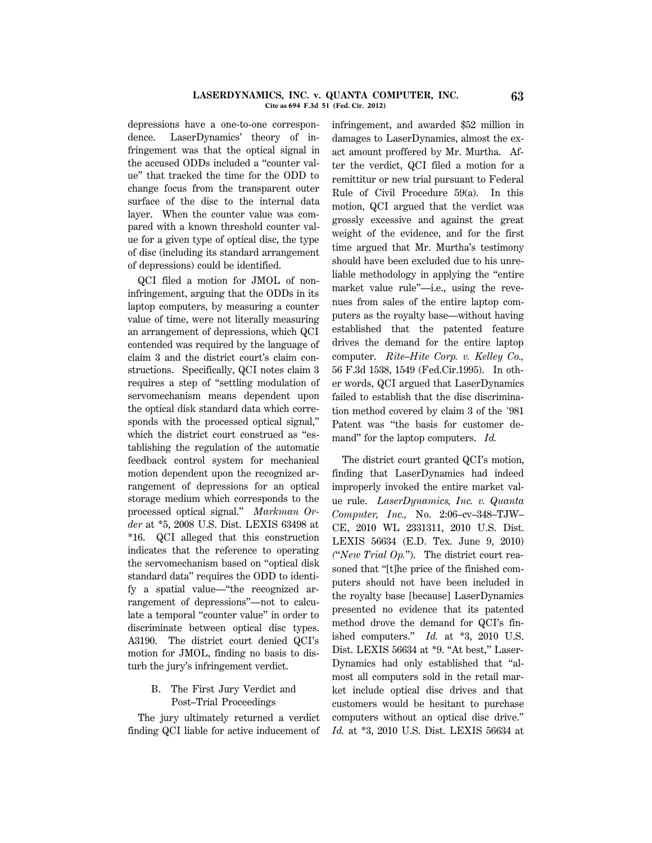#### **LASERDYNAMICS, INC. v. QUANTA COMPUTER, INC. 63 Cite as 694 F.3d 51 (Fed. Cir. 2012)**

depressions have a one-to-one correspondence. LaserDynamics' theory of infringement was that the optical signal in the accused ODDs included a ''counter value'' that tracked the time for the ODD to change focus from the transparent outer surface of the disc to the internal data layer. When the counter value was compared with a known threshold counter value for a given type of optical disc, the type of disc (including its standard arrangement of depressions) could be identified.

QCI filed a motion for JMOL of noninfringement, arguing that the ODDs in its laptop computers, by measuring a counter value of time, were not literally measuring an arrangement of depressions, which QCI contended was required by the language of claim 3 and the district court's claim constructions. Specifically, QCI notes claim 3 requires a step of ''settling modulation of servomechanism means dependent upon the optical disk standard data which corresponds with the processed optical signal,'' which the district court construed as ''establishing the regulation of the automatic feedback control system for mechanical motion dependent upon the recognized arrangement of depressions for an optical storage medium which corresponds to the processed optical signal.'' *Markman Order* at \*5, 2008 U.S. Dist. LEXIS 63498 at \*16. QCI alleged that this construction indicates that the reference to operating the servomechanism based on ''optical disk standard data'' requires the ODD to identify a spatial value—''the recognized arrangement of depressions''—not to calculate a temporal ''counter value'' in order to discriminate between optical disc types. A3190. The district court denied QCI's motion for JMOL, finding no basis to disturb the jury's infringement verdict.

# B. The First Jury Verdict and Post–Trial Proceedings

The jury ultimately returned a verdict finding QCI liable for active inducement of infringement, and awarded \$52 million in damages to LaserDynamics, almost the exact amount proffered by Mr. Murtha. After the verdict, QCI filed a motion for a remittitur or new trial pursuant to Federal Rule of Civil Procedure 59(a). In this motion, QCI argued that the verdict was grossly excessive and against the great weight of the evidence, and for the first time argued that Mr. Murtha's testimony should have been excluded due to his unreliable methodology in applying the ''entire market value rule"—i.e., using the revenues from sales of the entire laptop computers as the royalty base—without having established that the patented feature drives the demand for the entire laptop computer. *Rite–Hite Corp. v. Kelley Co.,* 56 F.3d 1538, 1549 (Fed.Cir.1995). In other words, QCI argued that LaserDynamics failed to establish that the disc discrimination method covered by claim 3 of the '981 Patent was ''the basis for customer demand'' for the laptop computers. *Id.*

The district court granted QCI's motion, finding that LaserDynamics had indeed improperly invoked the entire market value rule. *LaserDynamics, Inc. v. Quanta Computer, Inc.,* No. 2:06–cv–348–TJW– CE, 2010 WL 2331311, 2010 U.S. Dist. LEXIS 56634 (E.D. Tex. June 9, 2010) *(*''*New Trial Op.*''). The district court reasoned that ''[t]he price of the finished computers should not have been included in the royalty base [because] LaserDynamics presented no evidence that its patented method drove the demand for QCI's finished computers.'' *Id.* at \*3, 2010 U.S. Dist. LEXIS 56634 at \*9. "At best," Laser-Dynamics had only established that ''almost all computers sold in the retail market include optical disc drives and that customers would be hesitant to purchase computers without an optical disc drive.'' *Id.* at \*3, 2010 U.S. Dist. LEXIS 56634 at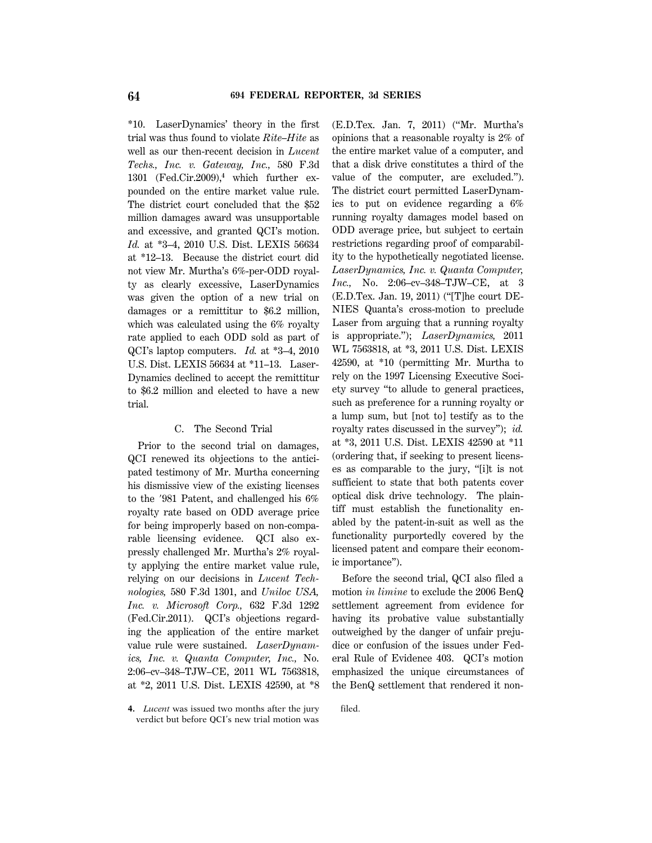\*10. LaserDynamics' theory in the first trial was thus found to violate *Rite–Hite* as well as our then-recent decision in *Lucent Techs., Inc. v. Gateway, Inc.,* 580 F.3d 1301 (Fed.Cir.2009),**<sup>4</sup>** which further expounded on the entire market value rule. The district court concluded that the \$52 million damages award was unsupportable and excessive, and granted QCI's motion. *Id.* at \*3–4, 2010 U.S. Dist. LEXIS 56634 at \*12–13. Because the district court did not view Mr. Murtha's 6%-per-ODD royalty as clearly excessive, LaserDynamics was given the option of a new trial on damages or a remittitur to \$6.2 million, which was calculated using the 6% royalty rate applied to each ODD sold as part of QCI's laptop computers. *Id.* at \*3–4, 2010 U.S. Dist. LEXIS 56634 at \*11–13. Laser-Dynamics declined to accept the remittitur to \$6.2 million and elected to have a new trial.

## C. The Second Trial

Prior to the second trial on damages, QCI renewed its objections to the anticipated testimony of Mr. Murtha concerning his dismissive view of the existing licenses to the  $'981$  Patent, and challenged his  $6\%$ royalty rate based on ODD average price for being improperly based on non-comparable licensing evidence. QCI also expressly challenged Mr. Murtha's 2% royalty applying the entire market value rule, relying on our decisions in *Lucent Technologies,* 580 F.3d 1301, and *Uniloc USA, Inc. v. Microsoft Corp.,* 632 F.3d 1292 (Fed.Cir.2011). QCI's objections regarding the application of the entire market value rule were sustained. *LaserDynamics, Inc. v. Quanta Computer, Inc.,* No. 2:06–cv–348–TJW–CE, 2011 WL 7563818, at \*2, 2011 U.S. Dist. LEXIS 42590, at \*8

(E.D.Tex. Jan. 7, 2011) (''Mr. Murtha's opinions that a reasonable royalty is 2% of the entire market value of a computer, and that a disk drive constitutes a third of the value of the computer, are excluded.''). The district court permitted LaserDynamics to put on evidence regarding a 6% running royalty damages model based on ODD average price, but subject to certain restrictions regarding proof of comparability to the hypothetically negotiated license. *LaserDynamics, Inc. v. Quanta Computer, Inc.,* No. 2:06–cv–348–TJW–CE, at 3 (E.D.Tex. Jan. 19, 2011) (''[T]he court DE-NIES Quanta's cross-motion to preclude Laser from arguing that a running royalty is appropriate.''); *LaserDynamics,* 2011 WL 7563818, at \*3, 2011 U.S. Dist. LEXIS 42590, at \*10 (permitting Mr. Murtha to rely on the 1997 Licensing Executive Society survey ''to allude to general practices, such as preference for a running royalty or a lump sum, but [not to] testify as to the royalty rates discussed in the survey''); *id.* at \*3, 2011 U.S. Dist. LEXIS 42590 at \*11 (ordering that, if seeking to present licenses as comparable to the jury, ''[i]t is not sufficient to state that both patents cover optical disk drive technology. The plaintiff must establish the functionality enabled by the patent-in-suit as well as the functionality purportedly covered by the licensed patent and compare their economic importance'').

Before the second trial, QCI also filed a motion *in limine* to exclude the 2006 BenQ settlement agreement from evidence for having its probative value substantially outweighed by the danger of unfair prejudice or confusion of the issues under Federal Rule of Evidence 403. QCI's motion emphasized the unique circumstances of the BenQ settlement that rendered it non-

**<sup>4.</sup>** *Lucent* was issued two months after the jury verdict but before QCI's new trial motion was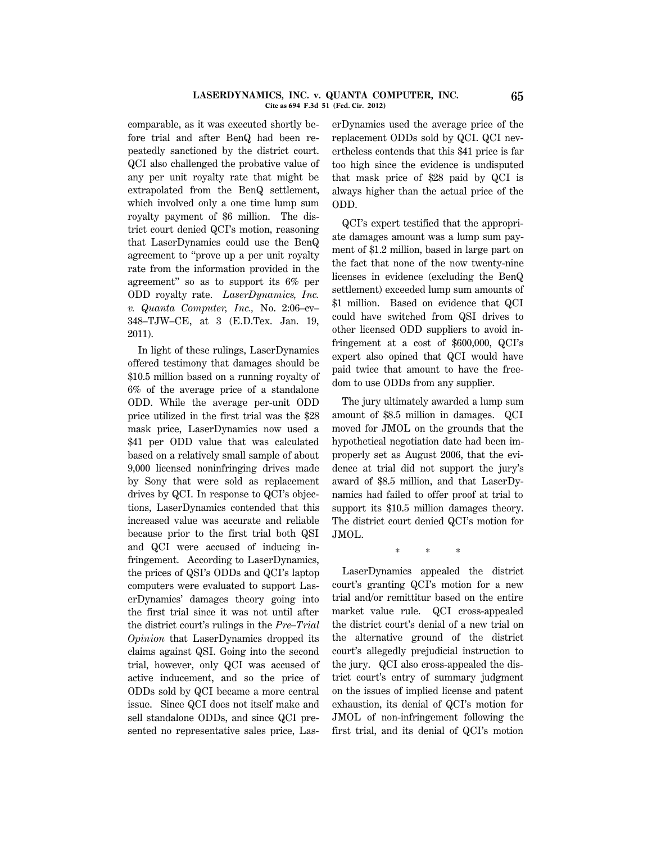#### **LASERDYNAMICS, INC. v. QUANTA COMPUTER, INC. 65 Cite as 694 F.3d 51 (Fed. Cir. 2012)**

comparable, as it was executed shortly before trial and after BenQ had been repeatedly sanctioned by the district court. QCI also challenged the probative value of any per unit royalty rate that might be extrapolated from the BenQ settlement, which involved only a one time lump sum royalty payment of \$6 million. The district court denied QCI's motion, reasoning that LaserDynamics could use the BenQ agreement to ''prove up a per unit royalty rate from the information provided in the agreement'' so as to support its 6% per ODD royalty rate. *LaserDynamics, Inc. v. Quanta Computer, Inc.,* No. 2:06–cv– 348–TJW–CE, at 3 (E.D.Tex. Jan. 19, 2011).

In light of these rulings, LaserDynamics offered testimony that damages should be \$10.5 million based on a running royalty of 6% of the average price of a standalone ODD. While the average per-unit ODD price utilized in the first trial was the \$28 mask price, LaserDynamics now used a \$41 per ODD value that was calculated based on a relatively small sample of about 9,000 licensed noninfringing drives made by Sony that were sold as replacement drives by QCI. In response to QCI's objections, LaserDynamics contended that this increased value was accurate and reliable because prior to the first trial both QSI and QCI were accused of inducing infringement. According to LaserDynamics, the prices of QSI's ODDs and QCI's laptop computers were evaluated to support LaserDynamics' damages theory going into the first trial since it was not until after the district court's rulings in the *Pre–Trial Opinion* that LaserDynamics dropped its claims against QSI. Going into the second trial, however, only QCI was accused of active inducement, and so the price of ODDs sold by QCI became a more central issue. Since QCI does not itself make and sell standalone ODDs, and since QCI presented no representative sales price, Las-

erDynamics used the average price of the replacement ODDs sold by QCI. QCI nevertheless contends that this \$41 price is far too high since the evidence is undisputed that mask price of \$28 paid by QCI is always higher than the actual price of the ODD.

QCI's expert testified that the appropriate damages amount was a lump sum payment of \$1.2 million, based in large part on the fact that none of the now twenty-nine licenses in evidence (excluding the BenQ settlement) exceeded lump sum amounts of \$1 million. Based on evidence that QCI could have switched from QSI drives to other licensed ODD suppliers to avoid infringement at a cost of \$600,000, QCI's expert also opined that QCI would have paid twice that amount to have the freedom to use ODDs from any supplier.

The jury ultimately awarded a lump sum amount of \$8.5 million in damages. QCI moved for JMOL on the grounds that the hypothetical negotiation date had been improperly set as August 2006, that the evidence at trial did not support the jury's award of \$8.5 million, and that LaserDynamics had failed to offer proof at trial to support its \$10.5 million damages theory. The district court denied QCI's motion for JMOL.

\* \* \*

LaserDynamics appealed the district court's granting QCI's motion for a new trial and/or remittitur based on the entire market value rule. QCI cross-appealed the district court's denial of a new trial on the alternative ground of the district court's allegedly prejudicial instruction to the jury. QCI also cross-appealed the district court's entry of summary judgment on the issues of implied license and patent exhaustion, its denial of QCI's motion for JMOL of non-infringement following the first trial, and its denial of QCI's motion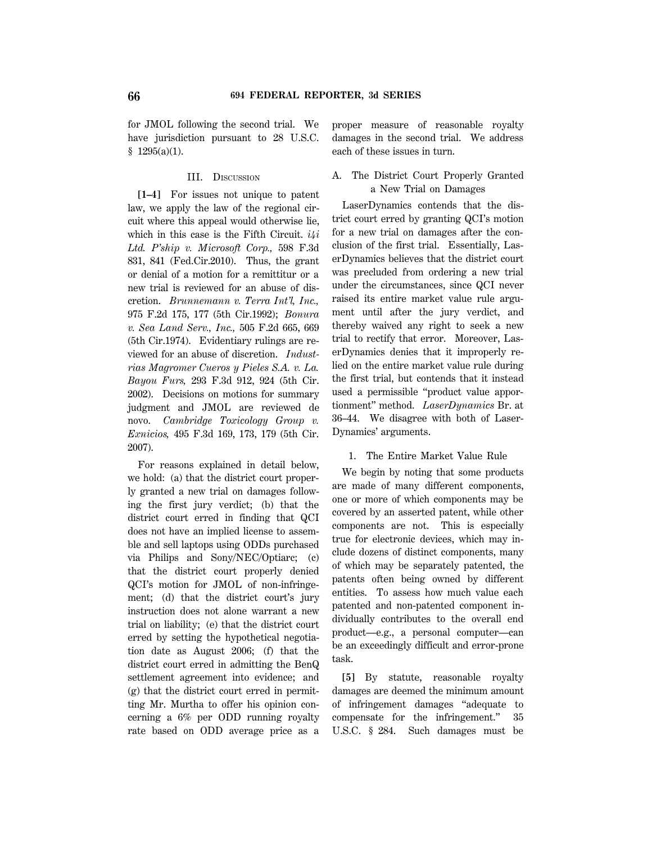for JMOL following the second trial. We have jurisdiction pursuant to 28 U.S.C.  $$1295(a)(1).$ 

## III. DISCUSSION

**[1–4]** For issues not unique to patent law, we apply the law of the regional circuit where this appeal would otherwise lie, which in this case is the Fifth Circuit. *i4i Ltd. P'ship v. Microsoft Corp.,* 598 F.3d 831, 841 (Fed.Cir.2010). Thus, the grant or denial of a motion for a remittitur or a new trial is reviewed for an abuse of discretion. *Brunnemann v. Terra Int'l, Inc.,* 975 F.2d 175, 177 (5th Cir.1992); *Bonura v. Sea Land Serv., Inc.,* 505 F.2d 665, 669 (5th Cir.1974). Evidentiary rulings are reviewed for an abuse of discretion. *Industrias Magromer Cueros y Pieles S.A. v. La. Bayou Furs,* 293 F.3d 912, 924 (5th Cir. 2002). Decisions on motions for summary judgment and JMOL are reviewed de novo. *Cambridge Toxicology Group v. Exnicios,* 495 F.3d 169, 173, 179 (5th Cir. 2007).

For reasons explained in detail below, we hold: (a) that the district court properly granted a new trial on damages following the first jury verdict; (b) that the district court erred in finding that QCI does not have an implied license to assemble and sell laptops using ODDs purchased via Philips and Sony/NEC/Optiarc; (c) that the district court properly denied QCI's motion for JMOL of non-infringement; (d) that the district court's jury instruction does not alone warrant a new trial on liability; (e) that the district court erred by setting the hypothetical negotiation date as August 2006; (f) that the district court erred in admitting the BenQ settlement agreement into evidence; and (g) that the district court erred in permitting Mr. Murtha to offer his opinion concerning a 6% per ODD running royalty rate based on ODD average price as a proper measure of reasonable royalty damages in the second trial. We address each of these issues in turn.

# A. The District Court Properly Granted a New Trial on Damages

LaserDynamics contends that the district court erred by granting QCI's motion for a new trial on damages after the conclusion of the first trial. Essentially, LaserDynamics believes that the district court was precluded from ordering a new trial under the circumstances, since QCI never raised its entire market value rule argument until after the jury verdict, and thereby waived any right to seek a new trial to rectify that error. Moreover, LaserDynamics denies that it improperly relied on the entire market value rule during the first trial, but contends that it instead used a permissible ''product value apportionment'' method. *LaserDynamics* Br. at 36–44. We disagree with both of Laser-Dynamics' arguments.

# 1. The Entire Market Value Rule

We begin by noting that some products are made of many different components, one or more of which components may be covered by an asserted patent, while other components are not. This is especially true for electronic devices, which may include dozens of distinct components, many of which may be separately patented, the patents often being owned by different entities. To assess how much value each patented and non-patented component individually contributes to the overall end product—e.g., a personal computer—can be an exceedingly difficult and error-prone task.

**[5]** By statute, reasonable royalty damages are deemed the minimum amount of infringement damages ''adequate to compensate for the infringement.'' 35 U.S.C. § 284. Such damages must be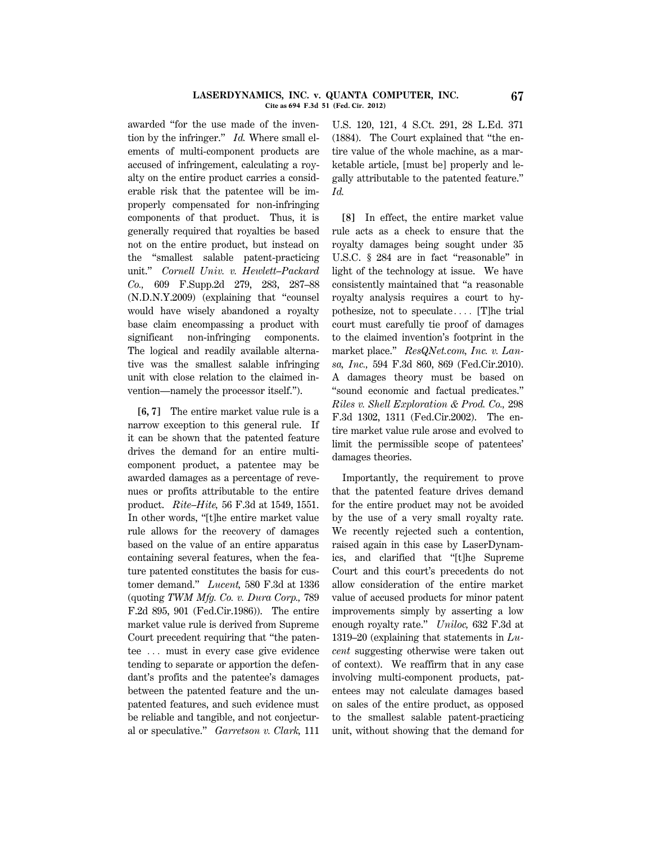#### **LASERDYNAMICS, INC. v. QUANTA COMPUTER, INC. 67 Cite as 694 F.3d 51 (Fed. Cir. 2012)**

awarded ''for the use made of the invention by the infringer.'' *Id.* Where small elements of multi-component products are accused of infringement, calculating a royalty on the entire product carries a considerable risk that the patentee will be improperly compensated for non-infringing components of that product. Thus, it is generally required that royalties be based not on the entire product, but instead on the ''smallest salable patent-practicing unit.'' *Cornell Univ. v. Hewlett–Packard Co.,* 609 F.Supp.2d 279, 283, 287–88 (N.D.N.Y.2009) (explaining that ''counsel would have wisely abandoned a royalty base claim encompassing a product with significant non-infringing components. The logical and readily available alternative was the smallest salable infringing unit with close relation to the claimed invention—namely the processor itself.'').

**[6, 7]** The entire market value rule is a narrow exception to this general rule. If it can be shown that the patented feature drives the demand for an entire multicomponent product, a patentee may be awarded damages as a percentage of revenues or profits attributable to the entire product. *Rite–Hite,* 56 F.3d at 1549, 1551. In other words, ''[t]he entire market value rule allows for the recovery of damages based on the value of an entire apparatus containing several features, when the feature patented constitutes the basis for customer demand.'' *Lucent,* 580 F.3d at 1336 (quoting *TWM Mfg. Co. v. Dura Corp.,* 789 F.2d 895, 901 (Fed.Cir.1986)). The entire market value rule is derived from Supreme Court precedent requiring that ''the patentee  $\ldots$  must in every case give evidence tending to separate or apportion the defendant's profits and the patentee's damages between the patented feature and the unpatented features, and such evidence must be reliable and tangible, and not conjectural or speculative.'' *Garretson v. Clark,* 111

U.S. 120, 121, 4 S.Ct. 291, 28 L.Ed. 371 (1884). The Court explained that ''the entire value of the whole machine, as a marketable article, [must be] properly and legally attributable to the patented feature.'' *Id.*

**[8]** In effect, the entire market value rule acts as a check to ensure that the royalty damages being sought under 35 U.S.C. § 284 are in fact "reasonable" in light of the technology at issue. We have consistently maintained that ''a reasonable royalty analysis requires a court to hypothesize, not to speculate.... [T]he trial court must carefully tie proof of damages to the claimed invention's footprint in the market place.'' *ResQNet.com, Inc. v. Lansa, Inc.,* 594 F.3d 860, 869 (Fed.Cir.2010). A damages theory must be based on ''sound economic and factual predicates.'' *Riles v. Shell Exploration & Prod. Co.,* 298 F.3d 1302, 1311 (Fed.Cir.2002). The entire market value rule arose and evolved to limit the permissible scope of patentees' damages theories.

Importantly, the requirement to prove that the patented feature drives demand for the entire product may not be avoided by the use of a very small royalty rate. We recently rejected such a contention, raised again in this case by LaserDynamics, and clarified that ''[t]he Supreme Court and this court's precedents do not allow consideration of the entire market value of accused products for minor patent improvements simply by asserting a low enough royalty rate.'' *Uniloc,* 632 F.3d at 1319–20 (explaining that statements in *Lucent* suggesting otherwise were taken out of context). We reaffirm that in any case involving multi-component products, patentees may not calculate damages based on sales of the entire product, as opposed to the smallest salable patent-practicing unit, without showing that the demand for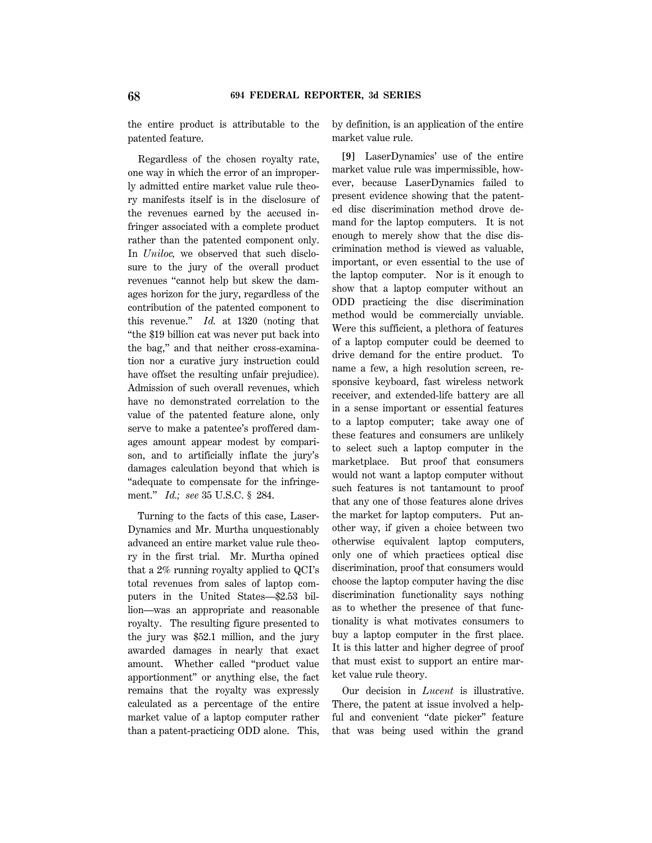the entire product is attributable to the patented feature.

Regardless of the chosen royalty rate, one way in which the error of an improperly admitted entire market value rule theory manifests itself is in the disclosure of the revenues earned by the accused infringer associated with a complete product rather than the patented component only. In *Uniloc,* we observed that such disclosure to the jury of the overall product revenues ''cannot help but skew the damages horizon for the jury, regardless of the contribution of the patented component to this revenue.'' *Id.* at 1320 (noting that ''the \$19 billion cat was never put back into the bag,'' and that neither cross-examination nor a curative jury instruction could have offset the resulting unfair prejudice). Admission of such overall revenues, which have no demonstrated correlation to the value of the patented feature alone, only serve to make a patentee's proffered damages amount appear modest by comparison, and to artificially inflate the jury's damages calculation beyond that which is ''adequate to compensate for the infringement.'' *Id.; see* 35 U.S.C. § 284.

Turning to the facts of this case, Laser-Dynamics and Mr. Murtha unquestionably advanced an entire market value rule theory in the first trial. Mr. Murtha opined that a 2% running royalty applied to QCI's total revenues from sales of laptop computers in the United States—\$2.53 billion—was an appropriate and reasonable royalty. The resulting figure presented to the jury was \$52.1 million, and the jury awarded damages in nearly that exact amount. Whether called ''product value apportionment'' or anything else, the fact remains that the royalty was expressly calculated as a percentage of the entire market value of a laptop computer rather than a patent-practicing ODD alone. This, by definition, is an application of the entire market value rule.

**[9]** LaserDynamics' use of the entire market value rule was impermissible, however, because LaserDynamics failed to present evidence showing that the patented disc discrimination method drove demand for the laptop computers. It is not enough to merely show that the disc discrimination method is viewed as valuable, important, or even essential to the use of the laptop computer. Nor is it enough to show that a laptop computer without an ODD practicing the disc discrimination method would be commercially unviable. Were this sufficient, a plethora of features of a laptop computer could be deemed to drive demand for the entire product. To name a few, a high resolution screen, responsive keyboard, fast wireless network receiver, and extended-life battery are all in a sense important or essential features to a laptop computer; take away one of these features and consumers are unlikely to select such a laptop computer in the marketplace. But proof that consumers would not want a laptop computer without such features is not tantamount to proof that any one of those features alone drives the market for laptop computers. Put another way, if given a choice between two otherwise equivalent laptop computers, only one of which practices optical disc discrimination, proof that consumers would choose the laptop computer having the disc discrimination functionality says nothing as to whether the presence of that functionality is what motivates consumers to buy a laptop computer in the first place. It is this latter and higher degree of proof that must exist to support an entire market value rule theory.

Our decision in *Lucent* is illustrative. There, the patent at issue involved a helpful and convenient "date picker" feature that was being used within the grand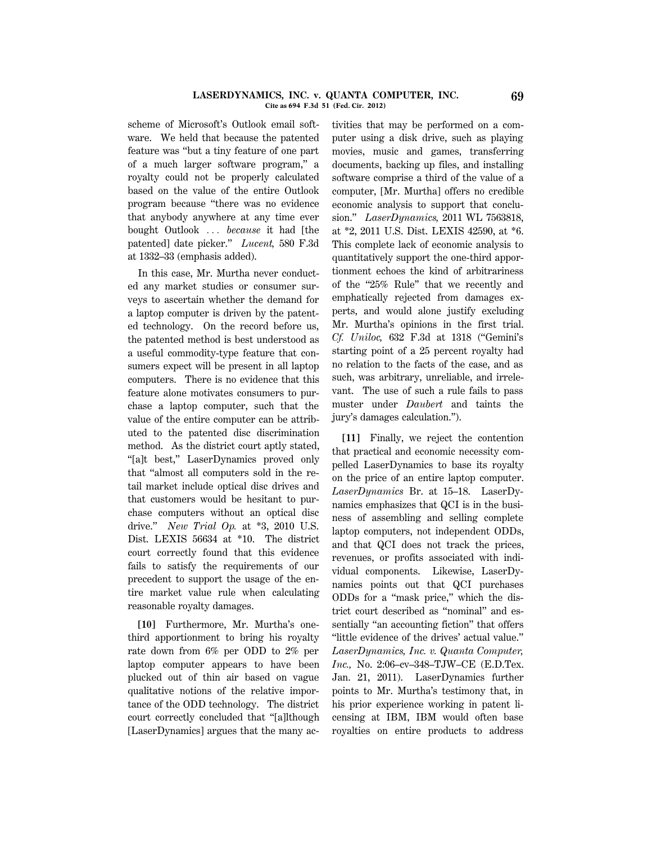#### **LASERDYNAMICS, INC. v. QUANTA COMPUTER, INC. 69 Cite as 694 F.3d 51 (Fed. Cir. 2012)**

scheme of Microsoft's Outlook email software. We held that because the patented feature was ''but a tiny feature of one part of a much larger software program,'' a royalty could not be properly calculated based on the value of the entire Outlook program because ''there was no evidence that anybody anywhere at any time ever bought Outlook ... *because* it had [the patented] date picker.'' *Lucent,* 580 F.3d at 1332–33 (emphasis added).

In this case, Mr. Murtha never conducted any market studies or consumer surveys to ascertain whether the demand for a laptop computer is driven by the patented technology. On the record before us, the patented method is best understood as a useful commodity-type feature that consumers expect will be present in all laptop computers. There is no evidence that this feature alone motivates consumers to purchase a laptop computer, such that the value of the entire computer can be attributed to the patented disc discrimination method. As the district court aptly stated, ''[a]t best,'' LaserDynamics proved only that ''almost all computers sold in the retail market include optical disc drives and that customers would be hesitant to purchase computers without an optical disc drive.'' *New Trial Op.* at \*3, 2010 U.S. Dist. LEXIS 56634 at \*10. The district court correctly found that this evidence fails to satisfy the requirements of our precedent to support the usage of the entire market value rule when calculating reasonable royalty damages.

**[10]** Furthermore, Mr. Murtha's onethird apportionment to bring his royalty rate down from 6% per ODD to 2% per laptop computer appears to have been plucked out of thin air based on vague qualitative notions of the relative importance of the ODD technology. The district court correctly concluded that ''[a]lthough [LaserDynamics] argues that the many ac-

tivities that may be performed on a computer using a disk drive, such as playing movies, music and games, transferring documents, backing up files, and installing software comprise a third of the value of a computer, [Mr. Murtha] offers no credible economic analysis to support that conclusion.'' *LaserDynamics,* 2011 WL 7563818, at \*2, 2011 U.S. Dist. LEXIS 42590, at \*6. This complete lack of economic analysis to quantitatively support the one-third apportionment echoes the kind of arbitrariness of the "25% Rule" that we recently and emphatically rejected from damages experts, and would alone justify excluding Mr. Murtha's opinions in the first trial. *Cf. Uniloc,* 632 F.3d at 1318 (''Gemini's starting point of a 25 percent royalty had no relation to the facts of the case, and as such, was arbitrary, unreliable, and irrelevant. The use of such a rule fails to pass muster under *Daubert* and taints the jury's damages calculation.'').

**[11]** Finally, we reject the contention that practical and economic necessity compelled LaserDynamics to base its royalty on the price of an entire laptop computer. *LaserDynamics* Br. at 15–18. LaserDynamics emphasizes that QCI is in the business of assembling and selling complete laptop computers, not independent ODDs, and that QCI does not track the prices, revenues, or profits associated with individual components. Likewise, LaserDynamics points out that QCI purchases ODDs for a ''mask price,'' which the district court described as ''nominal'' and essentially "an accounting fiction" that offers ''little evidence of the drives' actual value.'' *LaserDynamics, Inc. v. Quanta Computer, Inc.,* No. 2:06–cv–348–TJW–CE (E.D.Tex. Jan. 21, 2011). LaserDynamics further points to Mr. Murtha's testimony that, in his prior experience working in patent licensing at IBM, IBM would often base royalties on entire products to address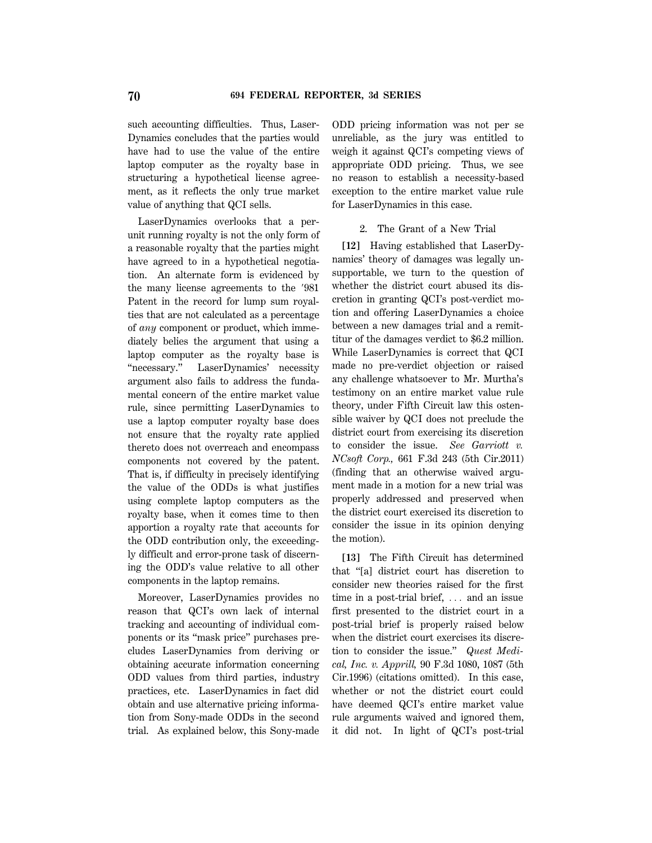such accounting difficulties. Thus, Laser-Dynamics concludes that the parties would have had to use the value of the entire laptop computer as the royalty base in structuring a hypothetical license agreement, as it reflects the only true market value of anything that QCI sells.

LaserDynamics overlooks that a perunit running royalty is not the only form of a reasonable royalty that the parties might have agreed to in a hypothetical negotiation. An alternate form is evidenced by the many license agreements to the '981 Patent in the record for lump sum royalties that are not calculated as a percentage of *any* component or product, which immediately belies the argument that using a laptop computer as the royalty base is ''necessary.'' LaserDynamics' necessity argument also fails to address the fundamental concern of the entire market value rule, since permitting LaserDynamics to use a laptop computer royalty base does not ensure that the royalty rate applied thereto does not overreach and encompass components not covered by the patent. That is, if difficulty in precisely identifying the value of the ODDs is what justifies using complete laptop computers as the royalty base, when it comes time to then apportion a royalty rate that accounts for the ODD contribution only, the exceedingly difficult and error-prone task of discerning the ODD's value relative to all other components in the laptop remains.

Moreover, LaserDynamics provides no reason that QCI's own lack of internal tracking and accounting of individual components or its ''mask price'' purchases precludes LaserDynamics from deriving or obtaining accurate information concerning ODD values from third parties, industry practices, etc. LaserDynamics in fact did obtain and use alternative pricing information from Sony-made ODDs in the second trial. As explained below, this Sony-made ODD pricing information was not per se unreliable, as the jury was entitled to weigh it against QCI's competing views of appropriate ODD pricing. Thus, we see no reason to establish a necessity-based exception to the entire market value rule for LaserDynamics in this case.

## 2. The Grant of a New Trial

**[12]** Having established that LaserDynamics' theory of damages was legally unsupportable, we turn to the question of whether the district court abused its discretion in granting QCI's post-verdict motion and offering LaserDynamics a choice between a new damages trial and a remittitur of the damages verdict to \$6.2 million. While LaserDynamics is correct that QCI made no pre-verdict objection or raised any challenge whatsoever to Mr. Murtha's testimony on an entire market value rule theory, under Fifth Circuit law this ostensible waiver by QCI does not preclude the district court from exercising its discretion to consider the issue. *See Garriott v. NCsoft Corp.,* 661 F.3d 243 (5th Cir.2011) (finding that an otherwise waived argument made in a motion for a new trial was properly addressed and preserved when the district court exercised its discretion to consider the issue in its opinion denying the motion).

**[13]** The Fifth Circuit has determined that ''[a] district court has discretion to consider new theories raised for the first time in a post-trial brief,  $\ldots$  and an issue first presented to the district court in a post-trial brief is properly raised below when the district court exercises its discretion to consider the issue.'' *Quest Medical, Inc. v. Apprill,* 90 F.3d 1080, 1087 (5th Cir.1996) (citations omitted). In this case, whether or not the district court could have deemed QCI's entire market value rule arguments waived and ignored them, it did not. In light of QCI's post-trial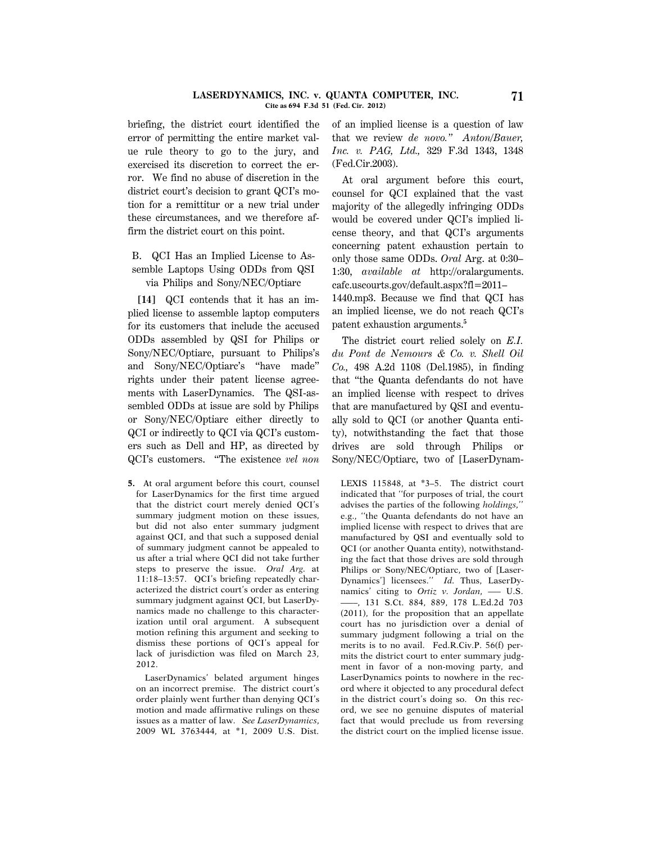#### **LASERDYNAMICS, INC. v. QUANTA COMPUTER, INC. 71 Cite as 694 F.3d 51 (Fed. Cir. 2012)**

briefing, the district court identified the error of permitting the entire market value rule theory to go to the jury, and exercised its discretion to correct the error. We find no abuse of discretion in the district court's decision to grant QCI's motion for a remittitur or a new trial under these circumstances, and we therefore affirm the district court on this point.

# B. QCI Has an Implied License to Assemble Laptops Using ODDs from QSI via Philips and Sony/NEC/Optiarc

**[14]** QCI contends that it has an implied license to assemble laptop computers for its customers that include the accused ODDs assembled by QSI for Philips or Sony/NEC/Optiarc, pursuant to Philips's and Sony/NEC/Optiarc's ''have made'' rights under their patent license agreements with LaserDynamics. The QSI-assembled ODDs at issue are sold by Philips or Sony/NEC/Optiarc either directly to QCI or indirectly to QCI via QCI's customers such as Dell and HP, as directed by QCI's customers. ''The existence *vel non*

**5.** At oral argument before this court, counsel for LaserDynamics for the first time argued that the district court merely denied QCI's summary judgment motion on these issues, but did not also enter summary judgment against QCI, and that such a supposed denial of summary judgment cannot be appealed to us after a trial where QCI did not take further steps to preserve the issue. *Oral Arg.* at 11:18–13:57. QCI's briefing repeatedly characterized the district court's order as entering summary judgment against QCI, but LaserDynamics made no challenge to this characterization until oral argument. A subsequent motion refining this argument and seeking to dismiss these portions of QCI's appeal for lack of jurisdiction was filed on March 23, 2012.

LaserDynamics' belated argument hinges on an incorrect premise. The district court's order plainly went further than denying QCI's motion and made affirmative rulings on these issues as a matter of law. *See LaserDynamics,* 2009 WL 3763444, at \*1, 2009 U.S. Dist. of an implied license is a question of law that we review *de novo.'' Anton/Bauer, Inc. v. PAG, Ltd.,* 329 F.3d 1343, 1348 (Fed.Cir.2003).

At oral argument before this court, counsel for QCI explained that the vast majority of the allegedly infringing ODDs would be covered under QCI's implied license theory, and that QCI's arguments concerning patent exhaustion pertain to only those same ODDs. *Oral* Arg. at 0:30– 1:30, *available at* http://oralarguments. cafc.uscourts.gov/default.aspx?fl=2011–

1440.mp3. Because we find that QCI has an implied license, we do not reach QCI's patent exhaustion arguments.**<sup>5</sup>**

The district court relied solely on *E.I. du Pont de Nemours & Co. v. Shell Oil Co.,* 498 A.2d 1108 (Del.1985), in finding that ''the Quanta defendants do not have an implied license with respect to drives that are manufactured by QSI and eventually sold to QCI (or another Quanta entity), notwithstanding the fact that those drives are sold through Philips or Sony/NEC/Optiarc, two of [LaserDynam-

LEXIS 115848, at \*3–5. The district court indicated that ''for purposes of trial, the court advises the parties of the following *holdings,*'' e.g., ''the Quanta defendants do not have an implied license with respect to drives that are manufactured by QSI and eventually sold to QCI (or another Quanta entity), notwithstanding the fact that those drives are sold through Philips or Sony/NEC/Optiarc, two of [Laser-Dynamics'] licensees.'' *Id.* Thus, LaserDynamics' citing to *Ortiz v. Jordan*, - U.S. ––––, 131 S.Ct. 884, 889, 178 L.Ed.2d 703 (2011), for the proposition that an appellate court has no jurisdiction over a denial of summary judgment following a trial on the merits is to no avail. Fed.R.Civ.P. 56(f) permits the district court to enter summary judgment in favor of a non-moving party, and LaserDynamics points to nowhere in the record where it objected to any procedural defect in the district court's doing so. On this record, we see no genuine disputes of material fact that would preclude us from reversing the district court on the implied license issue.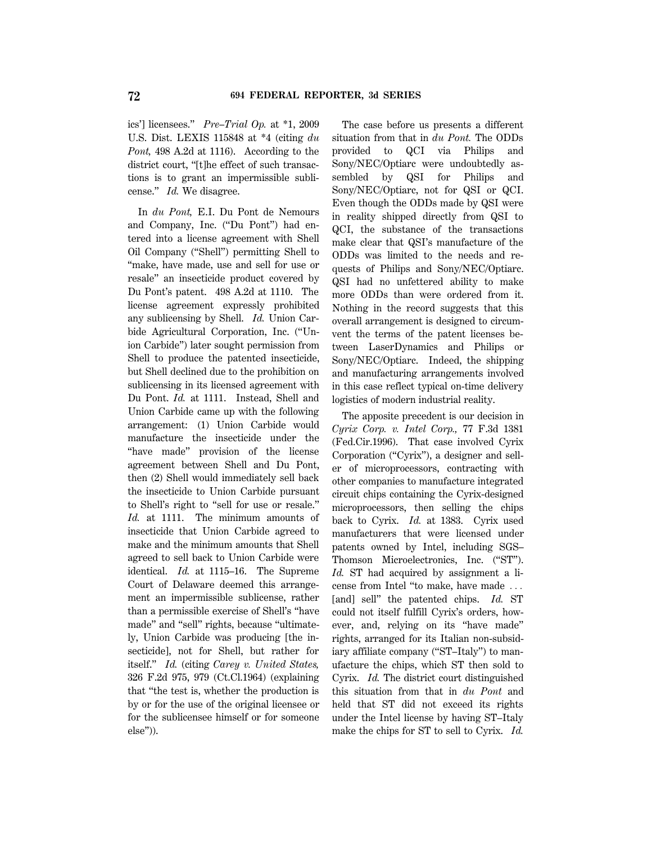ics'] licensees.'' *Pre–Trial Op.* at \*1, 2009 U.S. Dist. LEXIS 115848 at \*4 (citing *du Pont,* 498 A.2d at 1116). According to the district court, ''[t]he effect of such transactions is to grant an impermissible sublicense.'' *Id.* We disagree.

In *du Pont,* E.I. Du Pont de Nemours and Company, Inc. (''Du Pont'') had entered into a license agreement with Shell Oil Company (''Shell'') permitting Shell to ''make, have made, use and sell for use or resale'' an insecticide product covered by Du Pont's patent. 498 A.2d at 1110. The license agreement expressly prohibited any sublicensing by Shell. *Id.* Union Carbide Agricultural Corporation, Inc. (''Union Carbide'') later sought permission from Shell to produce the patented insecticide, but Shell declined due to the prohibition on sublicensing in its licensed agreement with Du Pont. *Id.* at 1111. Instead, Shell and Union Carbide came up with the following arrangement: (1) Union Carbide would manufacture the insecticide under the "have made" provision of the license agreement between Shell and Du Pont, then (2) Shell would immediately sell back the insecticide to Union Carbide pursuant to Shell's right to ''sell for use or resale.'' *Id.* at 1111. The minimum amounts of insecticide that Union Carbide agreed to make and the minimum amounts that Shell agreed to sell back to Union Carbide were identical. *Id.* at 1115–16. The Supreme Court of Delaware deemed this arrangement an impermissible sublicense, rather than a permissible exercise of Shell's ''have made" and "sell" rights, because "ultimately, Union Carbide was producing [the insecticide], not for Shell, but rather for itself.'' *Id.* (citing *Carey v. United States,* 326 F.2d 975, 979 (Ct.Cl.1964) (explaining that ''the test is, whether the production is by or for the use of the original licensee or for the sublicensee himself or for someone else'')).

The case before us presents a different situation from that in *du Pont.* The ODDs provided to QCI via Philips and Sony/NEC/Optiarc were undoubtedly assembled by QSI for Philips and Sony/NEC/Optiarc, not for QSI or QCI. Even though the ODDs made by QSI were in reality shipped directly from QSI to QCI, the substance of the transactions make clear that QSI's manufacture of the ODDs was limited to the needs and requests of Philips and Sony/NEC/Optiarc. QSI had no unfettered ability to make more ODDs than were ordered from it. Nothing in the record suggests that this overall arrangement is designed to circumvent the terms of the patent licenses between LaserDynamics and Philips or Sony/NEC/Optiarc. Indeed, the shipping and manufacturing arrangements involved in this case reflect typical on-time delivery logistics of modern industrial reality.

The apposite precedent is our decision in *Cyrix Corp. v. Intel Corp.,* 77 F.3d 1381 (Fed.Cir.1996). That case involved Cyrix Corporation (''Cyrix''), a designer and seller of microprocessors, contracting with other companies to manufacture integrated circuit chips containing the Cyrix-designed microprocessors, then selling the chips back to Cyrix. *Id.* at 1383. Cyrix used manufacturers that were licensed under patents owned by Intel, including SGS– Thomson Microelectronics, Inc. ("ST"). *Id.* ST had acquired by assignment a license from Intel "to make, have made ... [and] sell'' the patented chips. *Id.* ST could not itself fulfill Cyrix's orders, however, and, relying on its ''have made'' rights, arranged for its Italian non-subsidiary affiliate company (''ST–Italy'') to manufacture the chips, which ST then sold to Cyrix. *Id.* The district court distinguished this situation from that in *du Pont* and held that ST did not exceed its rights under the Intel license by having ST–Italy make the chips for ST to sell to Cyrix. *Id.*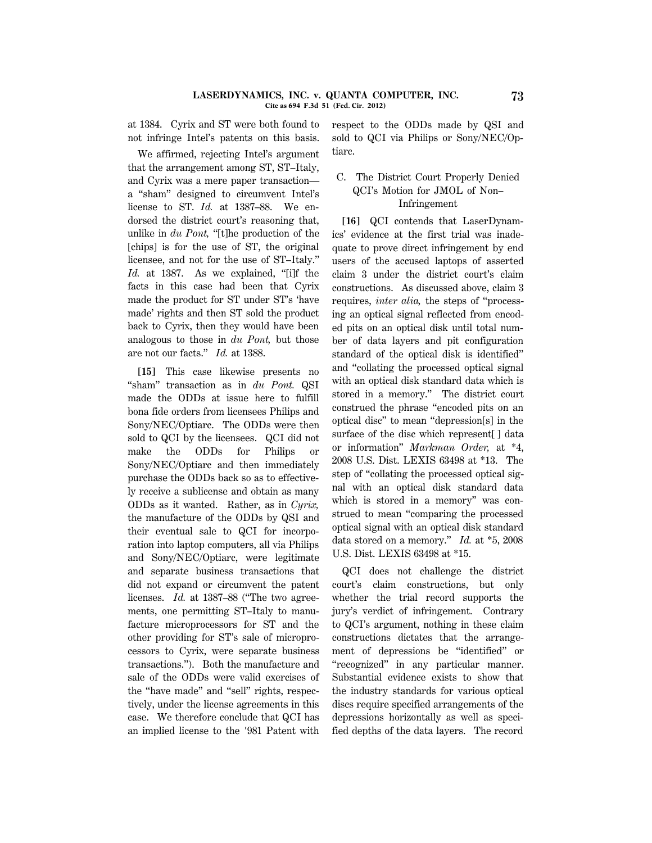at 1384. Cyrix and ST were both found to not infringe Intel's patents on this basis.

We affirmed, rejecting Intel's argument that the arrangement among ST, ST–Italy, and Cyrix was a mere paper transaction a ''sham'' designed to circumvent Intel's license to ST. *Id.* at 1387–88. We endorsed the district court's reasoning that, unlike in *du Pont*, "[t]he production of the [chips] is for the use of ST, the original licensee, and not for the use of ST–Italy.'' *Id.* at 1387. As we explained, "[i]f the facts in this case had been that Cyrix made the product for ST under ST's 'have made' rights and then ST sold the product back to Cyrix, then they would have been analogous to those in *du Pont,* but those are not our facts.'' *Id.* at 1388.

**[15]** This case likewise presents no ''sham'' transaction as in *du Pont.* QSI made the ODDs at issue here to fulfill bona fide orders from licensees Philips and Sony/NEC/Optiarc. The ODDs were then sold to QCI by the licensees. QCI did not make the ODDs for Philips or Sony/NEC/Optiarc and then immediately purchase the ODDs back so as to effectively receive a sublicense and obtain as many ODDs as it wanted. Rather, as in *Cyrix,* the manufacture of the ODDs by QSI and their eventual sale to QCI for incorporation into laptop computers, all via Philips and Sony/NEC/Optiarc, were legitimate and separate business transactions that did not expand or circumvent the patent licenses. *Id.* at 1387–88 ("The two agreements, one permitting ST–Italy to manufacture microprocessors for ST and the other providing for ST's sale of microprocessors to Cyrix, were separate business transactions.''). Both the manufacture and sale of the ODDs were valid exercises of the ''have made'' and ''sell'' rights, respectively, under the license agreements in this case. We therefore conclude that QCI has an implied license to the '981 Patent with respect to the ODDs made by QSI and sold to QCI via Philips or Sony/NEC/Optiarc.

# C. The District Court Properly Denied QCI's Motion for JMOL of Non– Infringement

**[16]** QCI contends that LaserDynamics' evidence at the first trial was inadequate to prove direct infringement by end users of the accused laptops of asserted claim 3 under the district court's claim constructions. As discussed above, claim 3 requires, *inter alia,* the steps of ''processing an optical signal reflected from encoded pits on an optical disk until total number of data layers and pit configuration standard of the optical disk is identified'' and ''collating the processed optical signal with an optical disk standard data which is stored in a memory.'' The district court construed the phrase ''encoded pits on an optical disc'' to mean ''depression[s] in the surface of the disc which represent[ ] data or information'' *Markman Order,* at \*4, 2008 U.S. Dist. LEXIS 63498 at \*13. The step of ''collating the processed optical signal with an optical disk standard data which is stored in a memory'' was construed to mean ''comparing the processed optical signal with an optical disk standard data stored on a memory.'' *Id.* at \*5, 2008 U.S. Dist. LEXIS 63498 at \*15.

QCI does not challenge the district court's claim constructions, but only whether the trial record supports the jury's verdict of infringement. Contrary to QCI's argument, nothing in these claim constructions dictates that the arrangement of depressions be ''identified'' or ''recognized'' in any particular manner. Substantial evidence exists to show that the industry standards for various optical discs require specified arrangements of the depressions horizontally as well as specified depths of the data layers. The record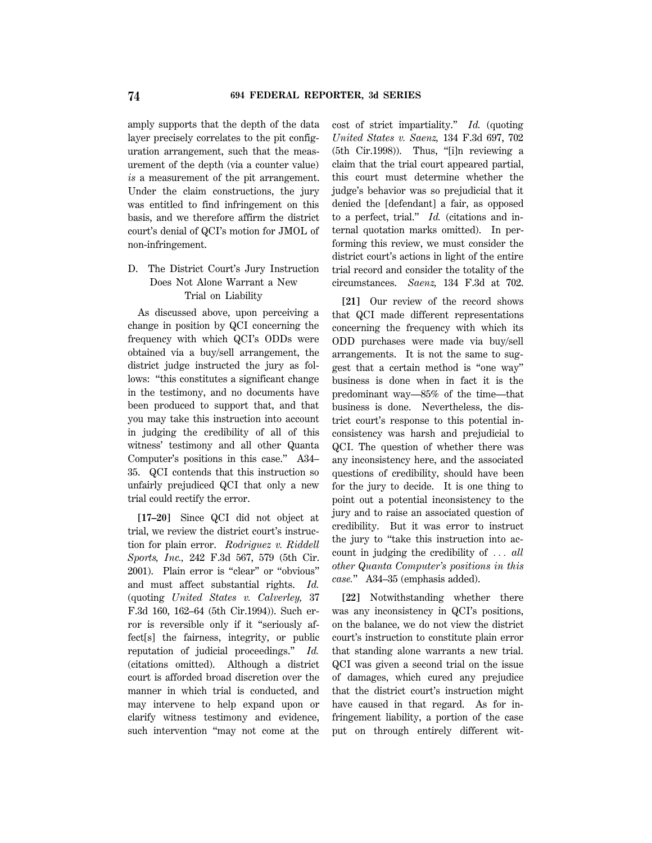amply supports that the depth of the data layer precisely correlates to the pit configuration arrangement, such that the measurement of the depth (via a counter value) *is* a measurement of the pit arrangement. Under the claim constructions, the jury was entitled to find infringement on this basis, and we therefore affirm the district court's denial of QCI's motion for JMOL of non-infringement.

# D. The District Court's Jury Instruction Does Not Alone Warrant a New Trial on Liability

As discussed above, upon perceiving a change in position by QCI concerning the frequency with which QCI's ODDs were obtained via a buy/sell arrangement, the district judge instructed the jury as follows: ''this constitutes a significant change in the testimony, and no documents have been produced to support that, and that you may take this instruction into account in judging the credibility of all of this witness' testimony and all other Quanta Computer's positions in this case.'' A34– 35. QCI contends that this instruction so unfairly prejudiced QCI that only a new trial could rectify the error.

**[17–20]** Since QCI did not object at trial, we review the district court's instruction for plain error. *Rodriguez v. Riddell Sports, Inc.,* 242 F.3d 567, 579 (5th Cir. 2001). Plain error is ''clear'' or ''obvious'' and must affect substantial rights. *Id.* (quoting *United States v. Calverley,* 37 F.3d 160, 162–64 (5th Cir.1994)). Such error is reversible only if it ''seriously affect[s] the fairness, integrity, or public reputation of judicial proceedings.'' *Id.* (citations omitted). Although a district court is afforded broad discretion over the manner in which trial is conducted, and may intervene to help expand upon or clarify witness testimony and evidence, such intervention "may not come at the cost of strict impartiality.'' *Id.* (quoting *United States v. Saenz,* 134 F.3d 697, 702 (5th Cir.1998)). Thus, ''[i]n reviewing a claim that the trial court appeared partial, this court must determine whether the judge's behavior was so prejudicial that it denied the [defendant] a fair, as opposed to a perfect, trial.'' *Id.* (citations and internal quotation marks omitted). In performing this review, we must consider the district court's actions in light of the entire trial record and consider the totality of the circumstances. *Saenz,* 134 F.3d at 702.

**[21]** Our review of the record shows that QCI made different representations concerning the frequency with which its ODD purchases were made via buy/sell arrangements. It is not the same to suggest that a certain method is ''one way'' business is done when in fact it is the predominant way—85% of the time—that business is done. Nevertheless, the district court's response to this potential inconsistency was harsh and prejudicial to QCI. The question of whether there was any inconsistency here, and the associated questions of credibility, should have been for the jury to decide. It is one thing to point out a potential inconsistency to the jury and to raise an associated question of credibility. But it was error to instruct the jury to ''take this instruction into account in judging the credibility of  $\ldots$  *all other Quanta Computer's positions in this case.*'' A34–35 (emphasis added).

**[22]** Notwithstanding whether there was any inconsistency in QCI's positions, on the balance, we do not view the district court's instruction to constitute plain error that standing alone warrants a new trial. QCI was given a second trial on the issue of damages, which cured any prejudice that the district court's instruction might have caused in that regard. As for infringement liability, a portion of the case put on through entirely different wit-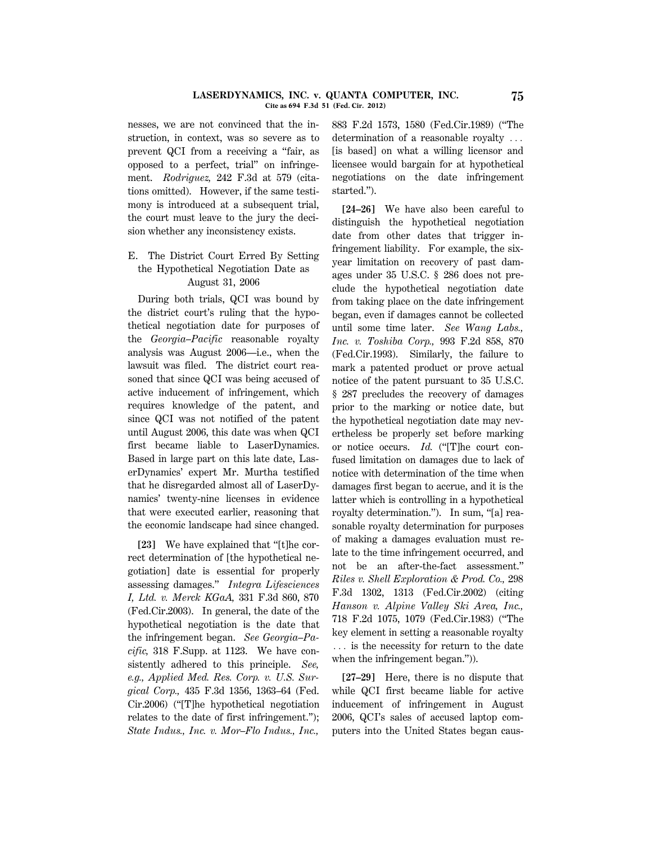#### **LASERDYNAMICS, INC. v. QUANTA COMPUTER, INC. 75 Cite as 694 F.3d 51 (Fed. Cir. 2012)**

nesses, we are not convinced that the instruction, in context, was so severe as to prevent QCI from a receiving a ''fair, as opposed to a perfect, trial'' on infringement. *Rodriguez,* 242 F.3d at 579 (citations omitted). However, if the same testimony is introduced at a subsequent trial, the court must leave to the jury the decision whether any inconsistency exists.

# E. The District Court Erred By Setting the Hypothetical Negotiation Date as August 31, 2006

During both trials, QCI was bound by the district court's ruling that the hypothetical negotiation date for purposes of the *Georgia–Pacific* reasonable royalty analysis was August 2006—i.e., when the lawsuit was filed. The district court reasoned that since QCI was being accused of active inducement of infringement, which requires knowledge of the patent, and since QCI was not notified of the patent until August 2006, this date was when QCI first became liable to LaserDynamics. Based in large part on this late date, LaserDynamics' expert Mr. Murtha testified that he disregarded almost all of LaserDynamics' twenty-nine licenses in evidence that were executed earlier, reasoning that the economic landscape had since changed.

**[23]** We have explained that ''[t]he correct determination of [the hypothetical negotiation] date is essential for properly assessing damages.'' *Integra Lifesciences I, Ltd. v. Merck KGaA,* 331 F.3d 860, 870 (Fed.Cir.2003). In general, the date of the hypothetical negotiation is the date that the infringement began. *See Georgia–Pacific,* 318 F.Supp. at 1123. We have consistently adhered to this principle. *See, e.g., Applied Med. Res. Corp. v. U.S. Surgical Corp.,* 435 F.3d 1356, 1363–64 (Fed. Cir.2006) (''[T]he hypothetical negotiation relates to the date of first infringement.''); *State Indus., Inc. v. Mor–Flo Indus., Inc.,*

883 F.2d 1573, 1580 (Fed.Cir.1989) (''The determination of a reasonable royalty  $\ldots$ [is based] on what a willing licensor and licensee would bargain for at hypothetical negotiations on the date infringement started.'').

**[24–26]** We have also been careful to distinguish the hypothetical negotiation date from other dates that trigger infringement liability. For example, the sixyear limitation on recovery of past damages under 35 U.S.C. § 286 does not preclude the hypothetical negotiation date from taking place on the date infringement began, even if damages cannot be collected until some time later. *See Wang Labs., Inc. v. Toshiba Corp.,* 993 F.2d 858, 870 (Fed.Cir.1993). Similarly, the failure to mark a patented product or prove actual notice of the patent pursuant to 35 U.S.C. § 287 precludes the recovery of damages prior to the marking or notice date, but the hypothetical negotiation date may nevertheless be properly set before marking or notice occurs. *Id.* ("The court confused limitation on damages due to lack of notice with determination of the time when damages first began to accrue, and it is the latter which is controlling in a hypothetical royalty determination.''). In sum, ''[a] reasonable royalty determination for purposes of making a damages evaluation must relate to the time infringement occurred, and not be an after-the-fact assessment.'' *Riles v. Shell Exploration & Prod. Co.,* 298 F.3d 1302, 1313 (Fed.Cir.2002) (citing *Hanson v. Alpine Valley Ski Area, Inc.,* 718 F.2d 1075, 1079 (Fed.Cir.1983) (''The key element in setting a reasonable royalty  $\ldots$  is the necessity for return to the date when the infringement began.'')).

**[27–29]** Here, there is no dispute that while QCI first became liable for active inducement of infringement in August 2006, QCI's sales of accused laptop computers into the United States began caus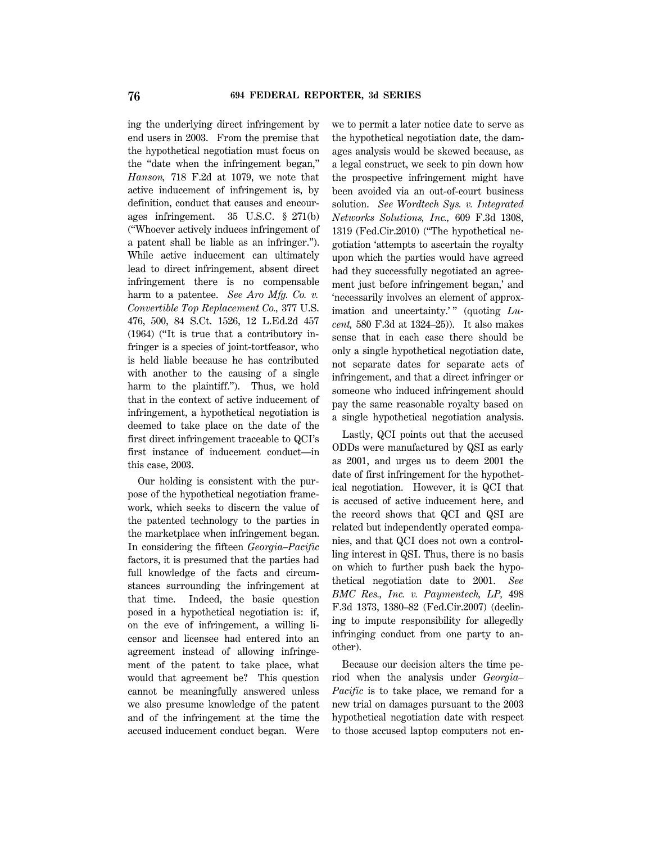ing the underlying direct infringement by end users in 2003. From the premise that the hypothetical negotiation must focus on the ''date when the infringement began,'' *Hanson,* 718 F.2d at 1079, we note that active inducement of infringement is, by definition, conduct that causes and encourages infringement. 35 U.S.C. § 271(b) (''Whoever actively induces infringement of a patent shall be liable as an infringer.''). While active inducement can ultimately lead to direct infringement, absent direct infringement there is no compensable harm to a patentee. *See Aro Mfg. Co. v. Convertible Top Replacement Co.,* 377 U.S. 476, 500, 84 S.Ct. 1526, 12 L.Ed.2d 457 (1964) (''It is true that a contributory infringer is a species of joint-tortfeasor, who is held liable because he has contributed with another to the causing of a single harm to the plaintiff.''). Thus, we hold that in the context of active inducement of infringement, a hypothetical negotiation is deemed to take place on the date of the first direct infringement traceable to QCI's first instance of inducement conduct—in this case, 2003.

Our holding is consistent with the purpose of the hypothetical negotiation framework, which seeks to discern the value of the patented technology to the parties in the marketplace when infringement began. In considering the fifteen *Georgia–Pacific* factors, it is presumed that the parties had full knowledge of the facts and circumstances surrounding the infringement at that time. Indeed, the basic question posed in a hypothetical negotiation is: if, on the eve of infringement, a willing licensor and licensee had entered into an agreement instead of allowing infringement of the patent to take place, what would that agreement be? This question cannot be meaningfully answered unless we also presume knowledge of the patent and of the infringement at the time the accused inducement conduct began. Were we to permit a later notice date to serve as the hypothetical negotiation date, the damages analysis would be skewed because, as a legal construct, we seek to pin down how the prospective infringement might have been avoided via an out-of-court business solution. *See Wordtech Sys. v. Integrated Networks Solutions, Inc.,* 609 F.3d 1308, 1319 (Fed.Cir.2010) (''The hypothetical negotiation 'attempts to ascertain the royalty upon which the parties would have agreed had they successfully negotiated an agreement just before infringement began,' and 'necessarily involves an element of approximation and uncertainty.'" (quoting Lu*cent,* 580 F.3d at 1324–25)). It also makes sense that in each case there should be only a single hypothetical negotiation date, not separate dates for separate acts of infringement, and that a direct infringer or someone who induced infringement should pay the same reasonable royalty based on a single hypothetical negotiation analysis.

Lastly, QCI points out that the accused ODDs were manufactured by QSI as early as 2001, and urges us to deem 2001 the date of first infringement for the hypothetical negotiation. However, it is QCI that is accused of active inducement here, and the record shows that QCI and QSI are related but independently operated companies, and that QCI does not own a controlling interest in QSI. Thus, there is no basis on which to further push back the hypothetical negotiation date to 2001. *See BMC Res., Inc. v. Paymentech, LP,* 498 F.3d 1373, 1380–82 (Fed.Cir.2007) (declining to impute responsibility for allegedly infringing conduct from one party to another).

Because our decision alters the time period when the analysis under *Georgia– Pacific* is to take place, we remand for a new trial on damages pursuant to the 2003 hypothetical negotiation date with respect to those accused laptop computers not en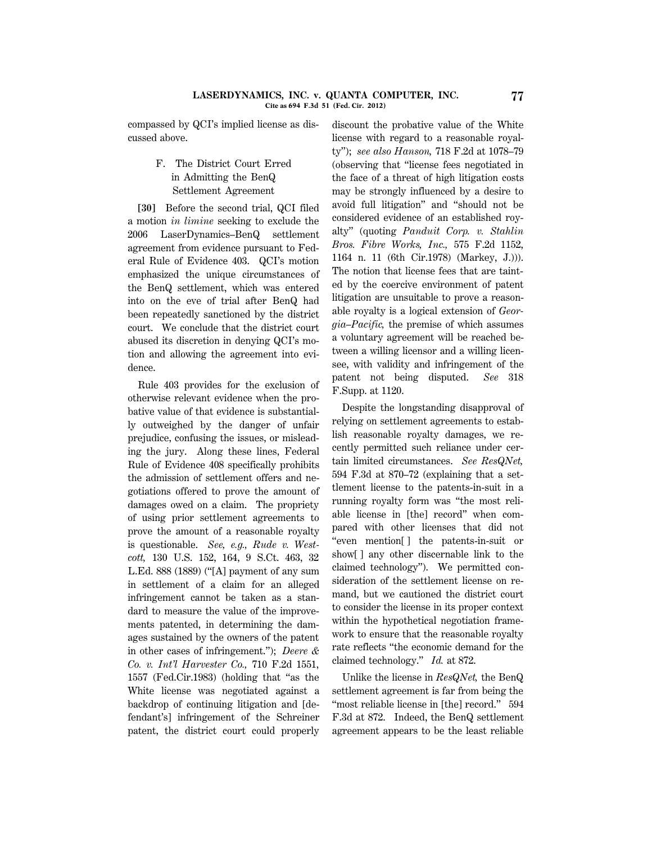compassed by QCI's implied license as discussed above.

# F. The District Court Erred in Admitting the BenQ Settlement Agreement

**[30]** Before the second trial, QCI filed a motion *in limine* seeking to exclude the 2006 LaserDynamics–BenQ settlement agreement from evidence pursuant to Federal Rule of Evidence 403. QCI's motion emphasized the unique circumstances of the BenQ settlement, which was entered into on the eve of trial after BenQ had been repeatedly sanctioned by the district court. We conclude that the district court abused its discretion in denying QCI's motion and allowing the agreement into evidence.

Rule 403 provides for the exclusion of otherwise relevant evidence when the probative value of that evidence is substantially outweighed by the danger of unfair prejudice, confusing the issues, or misleading the jury. Along these lines, Federal Rule of Evidence 408 specifically prohibits the admission of settlement offers and negotiations offered to prove the amount of damages owed on a claim. The propriety of using prior settlement agreements to prove the amount of a reasonable royalty is questionable. *See, e.g., Rude v. Westcott,* 130 U.S. 152, 164, 9 S.Ct. 463, 32 L.Ed. 888 (1889) (''[A] payment of any sum in settlement of a claim for an alleged infringement cannot be taken as a standard to measure the value of the improvements patented, in determining the damages sustained by the owners of the patent in other cases of infringement.''); *Deere & Co. v. Int'l Harvester Co.,* 710 F.2d 1551, 1557 (Fed.Cir.1983) (holding that ''as the White license was negotiated against a backdrop of continuing litigation and [defendant's] infringement of the Schreiner patent, the district court could properly discount the probative value of the White license with regard to a reasonable royalty''); *see also Hanson,* 718 F.2d at 1078–79 (observing that ''license fees negotiated in the face of a threat of high litigation costs may be strongly influenced by a desire to avoid full litigation'' and ''should not be considered evidence of an established royalty'' (quoting *Panduit Corp. v. Stahlin Bros. Fibre Works, Inc.,* 575 F.2d 1152, 1164 n. 11 (6th Cir.1978) (Markey, J.))). The notion that license fees that are tainted by the coercive environment of patent litigation are unsuitable to prove a reasonable royalty is a logical extension of *Georgia–Pacific,* the premise of which assumes a voluntary agreement will be reached between a willing licensor and a willing licensee, with validity and infringement of the patent not being disputed. *See* 318 F.Supp. at 1120.

Despite the longstanding disapproval of relying on settlement agreements to establish reasonable royalty damages, we recently permitted such reliance under certain limited circumstances. *See ResQNet,* 594 F.3d at 870–72 (explaining that a settlement license to the patents-in-suit in a running royalty form was ''the most reliable license in [the] record'' when compared with other licenses that did not ''even mention[ ] the patents-in-suit or show[ ] any other discernable link to the claimed technology''). We permitted consideration of the settlement license on remand, but we cautioned the district court to consider the license in its proper context within the hypothetical negotiation framework to ensure that the reasonable royalty rate reflects ''the economic demand for the claimed technology.'' *Id.* at 872.

Unlike the license in *ResQNet,* the BenQ settlement agreement is far from being the "most reliable license in [the] record." 594 F.3d at 872. Indeed, the BenQ settlement agreement appears to be the least reliable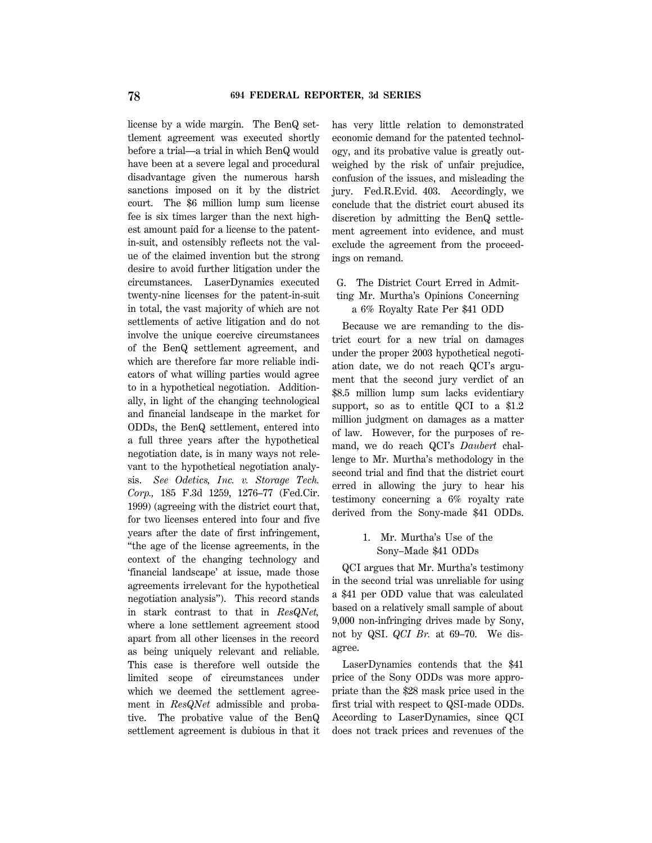license by a wide margin. The BenQ settlement agreement was executed shortly before a trial—a trial in which BenQ would have been at a severe legal and procedural disadvantage given the numerous harsh sanctions imposed on it by the district court. The \$6 million lump sum license fee is six times larger than the next highest amount paid for a license to the patentin-suit, and ostensibly reflects not the value of the claimed invention but the strong desire to avoid further litigation under the circumstances. LaserDynamics executed twenty-nine licenses for the patent-in-suit in total, the vast majority of which are not settlements of active litigation and do not involve the unique coercive circumstances of the BenQ settlement agreement, and which are therefore far more reliable indicators of what willing parties would agree to in a hypothetical negotiation. Additionally, in light of the changing technological and financial landscape in the market for ODDs, the BenQ settlement, entered into a full three years after the hypothetical negotiation date, is in many ways not relevant to the hypothetical negotiation analysis. *See Odetics, Inc. v. Storage Tech. Corp.,* 185 F.3d 1259, 1276–77 (Fed.Cir. 1999) (agreeing with the district court that, for two licenses entered into four and five years after the date of first infringement, ''the age of the license agreements, in the context of the changing technology and 'financial landscape' at issue, made those agreements irrelevant for the hypothetical negotiation analysis''). This record stands in stark contrast to that in *ResQNet,* where a lone settlement agreement stood apart from all other licenses in the record as being uniquely relevant and reliable. This case is therefore well outside the limited scope of circumstances under which we deemed the settlement agreement in *ResQNet* admissible and probative. The probative value of the BenQ settlement agreement is dubious in that it has very little relation to demonstrated economic demand for the patented technology, and its probative value is greatly outweighed by the risk of unfair prejudice, confusion of the issues, and misleading the jury. Fed.R.Evid. 403. Accordingly, we conclude that the district court abused its discretion by admitting the BenQ settlement agreement into evidence, and must exclude the agreement from the proceedings on remand.

# G. The District Court Erred in Admitting Mr. Murtha's Opinions Concerning a 6% Royalty Rate Per \$41 ODD

Because we are remanding to the district court for a new trial on damages under the proper 2003 hypothetical negotiation date, we do not reach QCI's argument that the second jury verdict of an \$8.5 million lump sum lacks evidentiary support, so as to entitle QCI to a \$1.2 million judgment on damages as a matter of law. However, for the purposes of remand, we do reach QCI's *Daubert* challenge to Mr. Murtha's methodology in the second trial and find that the district court erred in allowing the jury to hear his testimony concerning a 6% royalty rate derived from the Sony-made \$41 ODDs.

# 1. Mr. Murtha's Use of the Sony–Made \$41 ODDs

QCI argues that Mr. Murtha's testimony in the second trial was unreliable for using a \$41 per ODD value that was calculated based on a relatively small sample of about 9,000 non-infringing drives made by Sony, not by QSI. *QCI Br.* at 69–70. We disagree.

LaserDynamics contends that the \$41 price of the Sony ODDs was more appropriate than the \$28 mask price used in the first trial with respect to QSI-made ODDs. According to LaserDynamics, since QCI does not track prices and revenues of the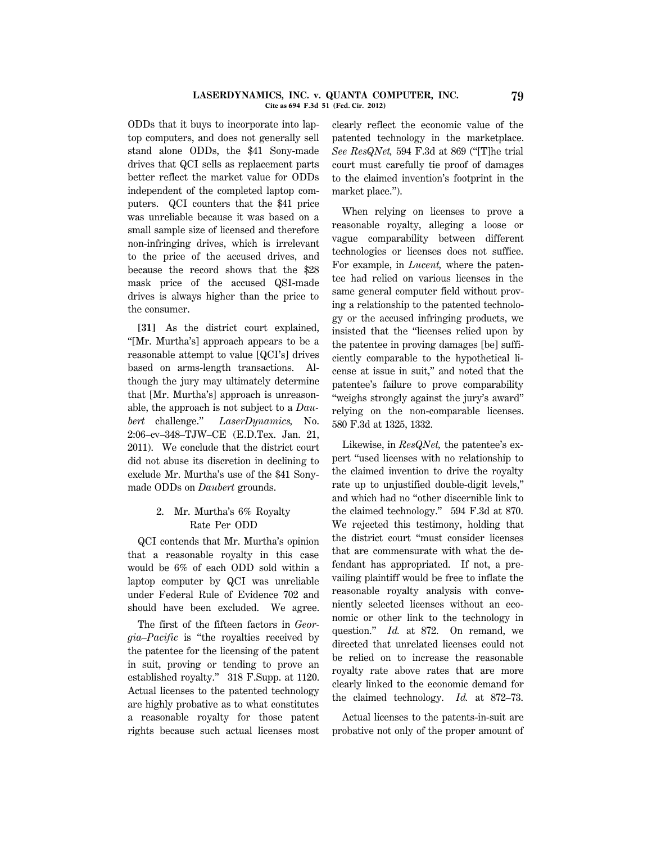#### **LASERDYNAMICS, INC. v. QUANTA COMPUTER, INC. 79 Cite as 694 F.3d 51 (Fed. Cir. 2012)**

ODDs that it buys to incorporate into laptop computers, and does not generally sell stand alone ODDs, the \$41 Sony-made drives that QCI sells as replacement parts better reflect the market value for ODDs independent of the completed laptop computers. QCI counters that the \$41 price was unreliable because it was based on a small sample size of licensed and therefore non-infringing drives, which is irrelevant to the price of the accused drives, and because the record shows that the \$28 mask price of the accused QSI-made drives is always higher than the price to the consumer.

**[31]** As the district court explained, ''[Mr. Murtha's] approach appears to be a reasonable attempt to value [QCI's] drives based on arms-length transactions. Although the jury may ultimately determine that [Mr. Murtha's] approach is unreasonable, the approach is not subject to a *Daubert* challenge.'' *LaserDynamics,* No. 2:06–cv–348–TJW–CE (E.D.Tex. Jan. 21, 2011). We conclude that the district court did not abuse its discretion in declining to exclude Mr. Murtha's use of the \$41 Sonymade ODDs on *Daubert* grounds.

# 2. Mr. Murtha's 6% Royalty Rate Per ODD

QCI contends that Mr. Murtha's opinion that a reasonable royalty in this case would be 6% of each ODD sold within a laptop computer by QCI was unreliable under Federal Rule of Evidence 702 and should have been excluded. We agree.

The first of the fifteen factors in *Georgia–Pacific* is "the royalties received by the patentee for the licensing of the patent in suit, proving or tending to prove an established royalty.'' 318 F.Supp. at 1120. Actual licenses to the patented technology are highly probative as to what constitutes a reasonable royalty for those patent rights because such actual licenses most clearly reflect the economic value of the patented technology in the marketplace. *See ResQNet,* 594 F.3d at 869 (''[T]he trial court must carefully tie proof of damages to the claimed invention's footprint in the market place.'').

When relying on licenses to prove a reasonable royalty, alleging a loose or vague comparability between different technologies or licenses does not suffice. For example, in *Lucent,* where the patentee had relied on various licenses in the same general computer field without proving a relationship to the patented technology or the accused infringing products, we insisted that the ''licenses relied upon by the patentee in proving damages [be] sufficiently comparable to the hypothetical license at issue in suit,'' and noted that the patentee's failure to prove comparability ''weighs strongly against the jury's award'' relying on the non-comparable licenses. 580 F.3d at 1325, 1332.

Likewise, in *ResQNet,* the patentee's expert ''used licenses with no relationship to the claimed invention to drive the royalty rate up to unjustified double-digit levels,'' and which had no ''other discernible link to the claimed technology.'' 594 F.3d at 870. We rejected this testimony, holding that the district court ''must consider licenses that are commensurate with what the defendant has appropriated. If not, a prevailing plaintiff would be free to inflate the reasonable royalty analysis with conveniently selected licenses without an economic or other link to the technology in question.'' *Id.* at 872. On remand, we directed that unrelated licenses could not be relied on to increase the reasonable royalty rate above rates that are more clearly linked to the economic demand for the claimed technology. *Id.* at 872–73.

Actual licenses to the patents-in-suit are probative not only of the proper amount of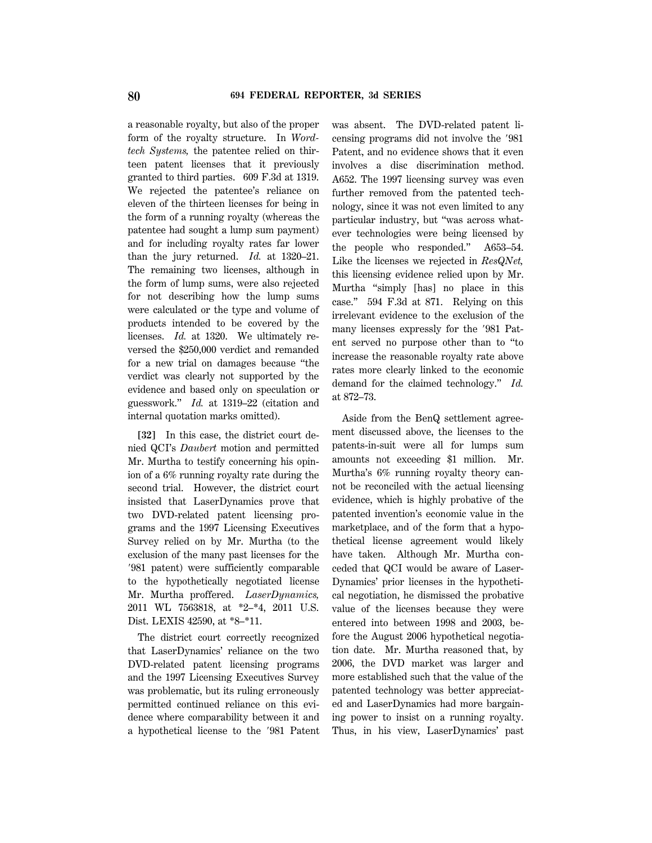a reasonable royalty, but also of the proper form of the royalty structure. In *Wordtech Systems,* the patentee relied on thirteen patent licenses that it previously granted to third parties. 609 F.3d at 1319. We rejected the patentee's reliance on eleven of the thirteen licenses for being in the form of a running royalty (whereas the patentee had sought a lump sum payment) and for including royalty rates far lower than the jury returned. *Id.* at 1320–21. The remaining two licenses, although in the form of lump sums, were also rejected for not describing how the lump sums were calculated or the type and volume of products intended to be covered by the licenses. *Id.* at 1320. We ultimately reversed the \$250,000 verdict and remanded for a new trial on damages because ''the verdict was clearly not supported by the evidence and based only on speculation or guesswork.'' *Id.* at 1319–22 (citation and internal quotation marks omitted).

**[32]** In this case, the district court denied QCI's *Daubert* motion and permitted Mr. Murtha to testify concerning his opinion of a 6% running royalty rate during the second trial. However, the district court insisted that LaserDynamics prove that two DVD-related patent licensing programs and the 1997 Licensing Executives Survey relied on by Mr. Murtha (to the exclusion of the many past licenses for the '981 patent) were sufficiently comparable to the hypothetically negotiated license Mr. Murtha proffered. *LaserDynamics,* 2011 WL 7563818, at \*2–\*4, 2011 U.S. Dist. LEXIS 42590, at \*8–\*11.

The district court correctly recognized that LaserDynamics' reliance on the two DVD-related patent licensing programs and the 1997 Licensing Executives Survey was problematic, but its ruling erroneously permitted continued reliance on this evidence where comparability between it and a hypothetical license to the '981 Patent was absent. The DVD-related patent licensing programs did not involve the '981 Patent, and no evidence shows that it even involves a disc discrimination method. A652. The 1997 licensing survey was even further removed from the patented technology, since it was not even limited to any particular industry, but ''was across whatever technologies were being licensed by the people who responded.'' A653–54. Like the licenses we rejected in *ResQNet,* this licensing evidence relied upon by Mr. Murtha ''simply [has] no place in this case.'' 594 F.3d at 871. Relying on this irrelevant evidence to the exclusion of the many licenses expressly for the '981 Patent served no purpose other than to ''to increase the reasonable royalty rate above rates more clearly linked to the economic demand for the claimed technology.'' *Id.* at 872–73.

Aside from the BenQ settlement agreement discussed above, the licenses to the patents-in-suit were all for lumps sum amounts not exceeding \$1 million. Mr. Murtha's 6% running royalty theory cannot be reconciled with the actual licensing evidence, which is highly probative of the patented invention's economic value in the marketplace, and of the form that a hypothetical license agreement would likely have taken. Although Mr. Murtha conceded that QCI would be aware of Laser-Dynamics' prior licenses in the hypothetical negotiation, he dismissed the probative value of the licenses because they were entered into between 1998 and 2003, before the August 2006 hypothetical negotiation date. Mr. Murtha reasoned that, by 2006, the DVD market was larger and more established such that the value of the patented technology was better appreciated and LaserDynamics had more bargaining power to insist on a running royalty. Thus, in his view, LaserDynamics' past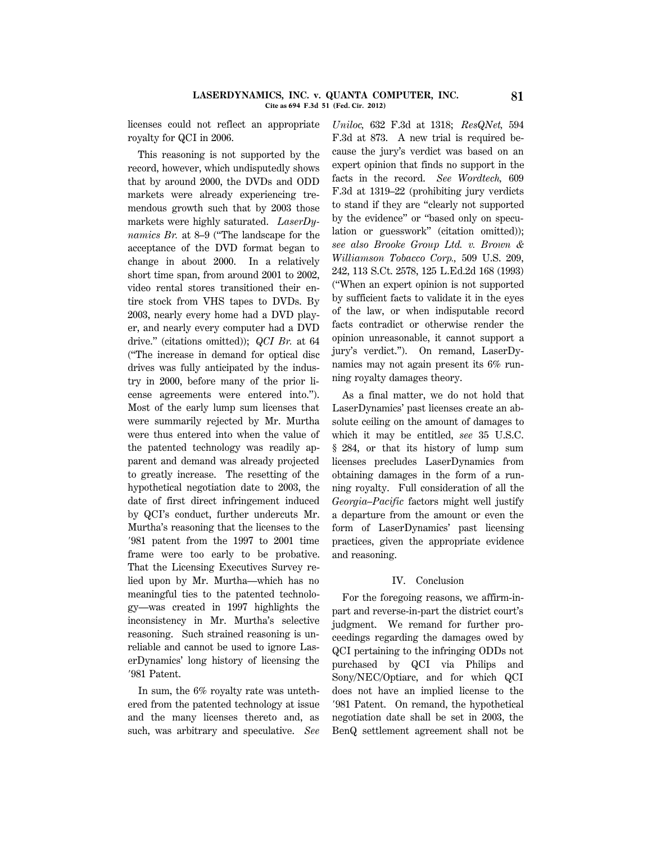licenses could not reflect an appropriate royalty for QCI in 2006.

This reasoning is not supported by the record, however, which undisputedly shows that by around 2000, the DVDs and ODD markets were already experiencing tremendous growth such that by 2003 those markets were highly saturated. *LaserDynamics Br.* at 8–9 (''The landscape for the acceptance of the DVD format began to change in about 2000. In a relatively short time span, from around 2001 to 2002, video rental stores transitioned their entire stock from VHS tapes to DVDs. By 2003, nearly every home had a DVD player, and nearly every computer had a DVD drive.'' (citations omitted)); *QCI Br.* at 64 (''The increase in demand for optical disc drives was fully anticipated by the industry in 2000, before many of the prior license agreements were entered into.''). Most of the early lump sum licenses that were summarily rejected by Mr. Murtha were thus entered into when the value of the patented technology was readily apparent and demand was already projected to greatly increase. The resetting of the hypothetical negotiation date to 2003, the date of first direct infringement induced by QCI's conduct, further undercuts Mr. Murtha's reasoning that the licenses to the  $'981$  patent from the 1997 to 2001 time frame were too early to be probative. That the Licensing Executives Survey relied upon by Mr. Murtha—which has no meaningful ties to the patented technology—was created in 1997 highlights the inconsistency in Mr. Murtha's selective reasoning. Such strained reasoning is unreliable and cannot be used to ignore LaserDynamics' long history of licensing the '981 Patent.

In sum, the 6% royalty rate was untethered from the patented technology at issue and the many licenses thereto and, as such, was arbitrary and speculative. *See* *Uniloc,* 632 F.3d at 1318; *ResQNet,* 594 F.3d at 873. A new trial is required because the jury's verdict was based on an expert opinion that finds no support in the facts in the record. *See Wordtech,* 609 F.3d at 1319–22 (prohibiting jury verdicts to stand if they are ''clearly not supported by the evidence'' or ''based only on speculation or guesswork'' (citation omitted)); *see also Brooke Group Ltd. v. Brown & Williamson Tobacco Corp.,* 509 U.S. 209, 242, 113 S.Ct. 2578, 125 L.Ed.2d 168 (1993) (''When an expert opinion is not supported by sufficient facts to validate it in the eyes of the law, or when indisputable record facts contradict or otherwise render the opinion unreasonable, it cannot support a jury's verdict.''). On remand, LaserDynamics may not again present its 6% running royalty damages theory.

As a final matter, we do not hold that LaserDynamics' past licenses create an absolute ceiling on the amount of damages to which it may be entitled, *see* 35 U.S.C. § 284, or that its history of lump sum licenses precludes LaserDynamics from obtaining damages in the form of a running royalty. Full consideration of all the *Georgia–Pacific* factors might well justify a departure from the amount or even the form of LaserDynamics' past licensing practices, given the appropriate evidence and reasoning.

## IV. Conclusion

For the foregoing reasons, we affirm-inpart and reverse-in-part the district court's judgment. We remand for further proceedings regarding the damages owed by QCI pertaining to the infringing ODDs not purchased by QCI via Philips and Sony/NEC/Optiarc, and for which QCI does not have an implied license to the '981 Patent. On remand, the hypothetical negotiation date shall be set in 2003, the BenQ settlement agreement shall not be